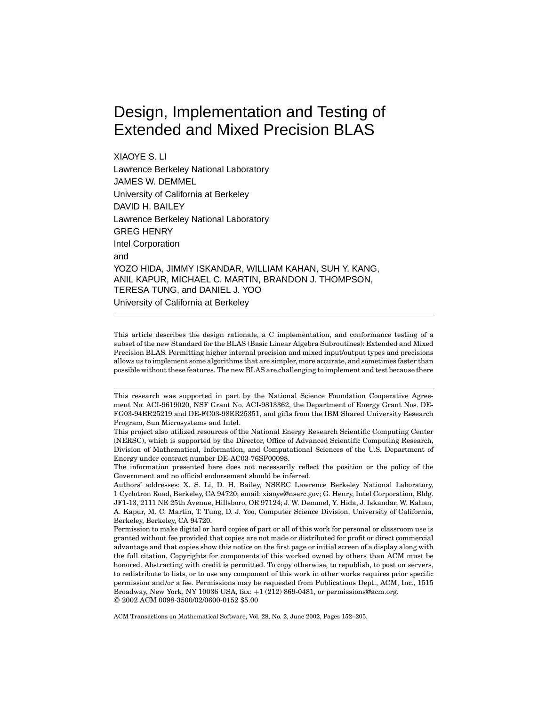# Design, Implementation and Testing of Extended and Mixed Precision BLAS

XIAOYE S. LI Lawrence Berkeley National Laboratory JAMES W. DEMMEL University of California at Berkeley DAVID H. BAILEY Lawrence Berkeley National Laboratory GREG HENRY Intel Corporation and YOZO HIDA, JIMMY ISKANDAR, WILLIAM KAHAN, SUH Y. KANG, ANIL KAPUR, MICHAEL C. MARTIN, BRANDON J. THOMPSON, TERESA TUNG, and DANIEL J. YOO University of California at Berkeley

This article describes the design rationale, a C implementation, and conformance testing of a subset of the new Standard for the BLAS (Basic Linear Algebra Subroutines): Extended and Mixed Precision BLAS. Permitting higher internal precision and mixed input/output types and precisions allows us to implement some algorithms that are simpler, more accurate, and sometimes faster than possible without these features. The new BLAS are challenging to implement and test because there

This research was supported in part by the National Science Foundation Cooperative Agreement No. ACI-9619020, NSF Grant No. ACI-9813362, the Department of Energy Grant Nos. DE-FG03-94ER25219 and DE-FC03-98ER25351, and gifts from the IBM Shared University Research Program, Sun Microsystems and Intel.

The information presented here does not necessarily reflect the position or the policy of the Government and no official endorsement should be inferred.

Authors' addresses: X. S. Li, D. H. Bailey, NSERC Lawrence Berkeley National Laboratory, 1 Cyclotron Road, Berkeley, CA 94720; email: xiaoye@nserc.gov; G. Henry, Intel Corporation, Bldg. JF1-13, 2111 NE 25th Avenue, Hillsboro, OR 97124; J. W. Demmel, Y. Hida, J. Iskandar, W. Kahan, A. Kapur, M. C. Martin, T. Tung, D. J. Yoo, Computer Science Division, University of California, Berkeley, Berkeley, CA 94720.

Permission to make digital or hard copies of part or all of this work for personal or classroom use is granted without fee provided that copies are not made or distributed for profit or direct commercial advantage and that copies show this notice on the first page or initial screen of a display along with the full citation. Copyrights for components of this worked owned by others than ACM must be honored. Abstracting with credit is permitted. To copy otherwise, to republish, to post on servers, to redistribute to lists, or to use any component of this work in other works requires prior specific permission and/or a fee. Permissions may be requested from Publications Dept., ACM, Inc., 1515 Broadway, New York, NY 10036 USA,  $\text{fax:} +1$  (212) 869-0481, or permissions@acm.org. °<sup>C</sup> 2002 ACM 0098-3500/02/0600-0152 \$5.00

This project also utilized resources of the National Energy Research Scientific Computing Center (NERSC), which is supported by the Director, Office of Advanced Scientific Computing Research, Division of Mathematical, Information, and Computational Sciences of the U.S. Department of Energy under contract number DE-AC03-76SF00098.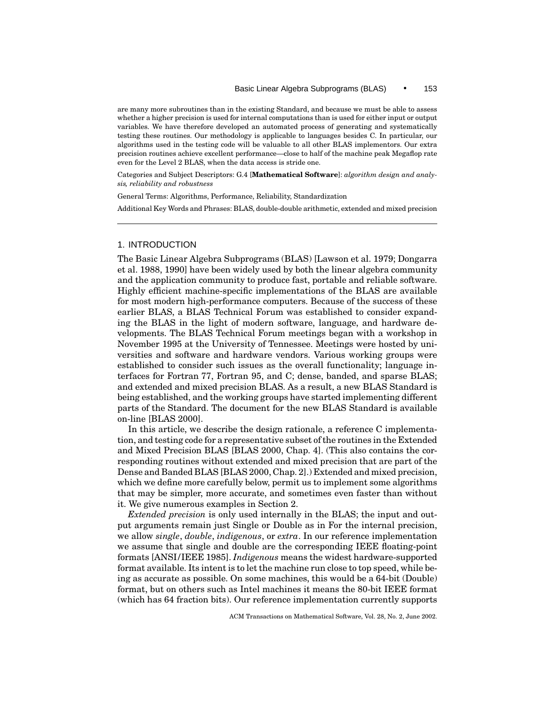are many more subroutines than in the existing Standard, and because we must be able to assess whether a higher precision is used for internal computations than is used for either input or output variables. We have therefore developed an automated process of generating and systematically testing these routines. Our methodology is applicable to languages besides C. In particular, our algorithms used in the testing code will be valuable to all other BLAS implementors. Our extra precision routines achieve excellent performance—close to half of the machine peak Megaflop rate even for the Level 2 BLAS, when the data access is stride one.

Categories and Subject Descriptors: G.4 [**Mathematical Software**]: *algorithm design and analysis, reliability and robustness*

General Terms: Algorithms, Performance, Reliability, Standardization

Additional Key Words and Phrases: BLAS, double-double arithmetic, extended and mixed precision

#### 1. INTRODUCTION

The Basic Linear Algebra Subprograms (BLAS) [Lawson et al. 1979; Dongarra et al. 1988, 1990] have been widely used by both the linear algebra community and the application community to produce fast, portable and reliable software. Highly efficient machine-specific implementations of the BLAS are available for most modern high-performance computers. Because of the success of these earlier BLAS, a BLAS Technical Forum was established to consider expanding the BLAS in the light of modern software, language, and hardware developments. The BLAS Technical Forum meetings began with a workshop in November 1995 at the University of Tennessee. Meetings were hosted by universities and software and hardware vendors. Various working groups were established to consider such issues as the overall functionality; language interfaces for Fortran 77, Fortran 95, and C; dense, banded, and sparse BLAS; and extended and mixed precision BLAS. As a result, a new BLAS Standard is being established, and the working groups have started implementing different parts of the Standard. The document for the new BLAS Standard is available on-line [BLAS 2000].

In this article, we describe the design rationale, a reference C implementation, and testing code for a representative subset of the routines in the Extended and Mixed Precision BLAS [BLAS 2000, Chap. 4]. (This also contains the corresponding routines without extended and mixed precision that are part of the Dense and Banded BLAS [BLAS 2000, Chap. 2].) Extended and mixed precision, which we define more carefully below, permit us to implement some algorithms that may be simpler, more accurate, and sometimes even faster than without it. We give numerous examples in Section 2.

*Extended precision* is only used internally in the BLAS; the input and output arguments remain just Single or Double as in For the internal precision, we allow *single*, *double*, *indigenous*, or *extra*. In our reference implementation we assume that single and double are the corresponding IEEE floating-point formats [ANSI/IEEE 1985]. *Indigenous* means the widest hardware-supported format available. Its intent is to let the machine run close to top speed, while being as accurate as possible. On some machines, this would be a 64-bit (Double) format, but on others such as Intel machines it means the 80-bit IEEE format (which has 64 fraction bits). Our reference implementation currently supports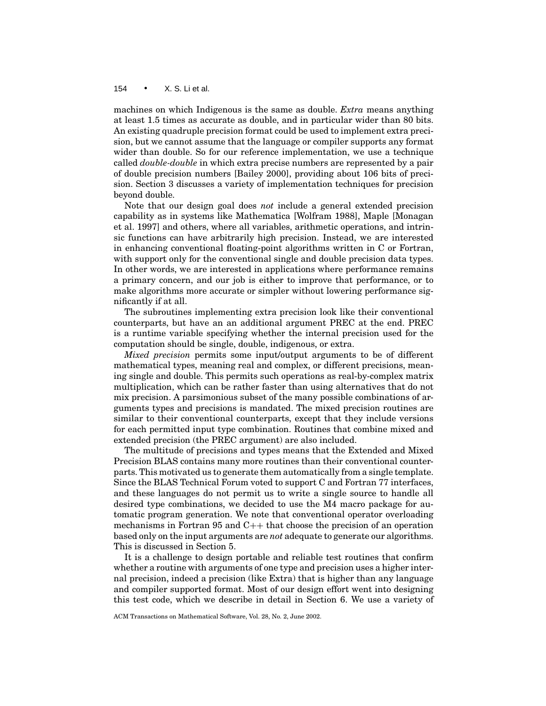machines on which Indigenous is the same as double. *Extra* means anything at least 1.5 times as accurate as double, and in particular wider than 80 bits. An existing quadruple precision format could be used to implement extra precision, but we cannot assume that the language or compiler supports any format wider than double. So for our reference implementation, we use a technique called *double-double* in which extra precise numbers are represented by a pair of double precision numbers [Bailey 2000], providing about 106 bits of precision. Section 3 discusses a variety of implementation techniques for precision beyond double.

Note that our design goal does *not* include a general extended precision capability as in systems like Mathematica [Wolfram 1988], Maple [Monagan et al. 1997] and others, where all variables, arithmetic operations, and intrinsic functions can have arbitrarily high precision. Instead, we are interested in enhancing conventional floating-point algorithms written in C or Fortran, with support only for the conventional single and double precision data types. In other words, we are interested in applications where performance remains a primary concern, and our job is either to improve that performance, or to make algorithms more accurate or simpler without lowering performance significantly if at all.

The subroutines implementing extra precision look like their conventional counterparts, but have an an additional argument PREC at the end. PREC is a runtime variable specifying whether the internal precision used for the computation should be single, double, indigenous, or extra.

*Mixed precision* permits some input/output arguments to be of different mathematical types, meaning real and complex, or different precisions, meaning single and double. This permits such operations as real-by-complex matrix multiplication, which can be rather faster than using alternatives that do not mix precision. A parsimonious subset of the many possible combinations of arguments types and precisions is mandated. The mixed precision routines are similar to their conventional counterparts, except that they include versions for each permitted input type combination. Routines that combine mixed and extended precision (the PREC argument) are also included.

The multitude of precisions and types means that the Extended and Mixed Precision BLAS contains many more routines than their conventional counterparts. This motivated us to generate them automatically from a single template. Since the BLAS Technical Forum voted to support C and Fortran 77 interfaces, and these languages do not permit us to write a single source to handle all desired type combinations, we decided to use the M4 macro package for automatic program generation. We note that conventional operator overloading mechanisms in Fortran 95 and C++ that choose the precision of an operation based only on the input arguments are *not* adequate to generate our algorithms. This is discussed in Section 5.

It is a challenge to design portable and reliable test routines that confirm whether a routine with arguments of one type and precision uses a higher internal precision, indeed a precision (like Extra) that is higher than any language and compiler supported format. Most of our design effort went into designing this test code, which we describe in detail in Section 6. We use a variety of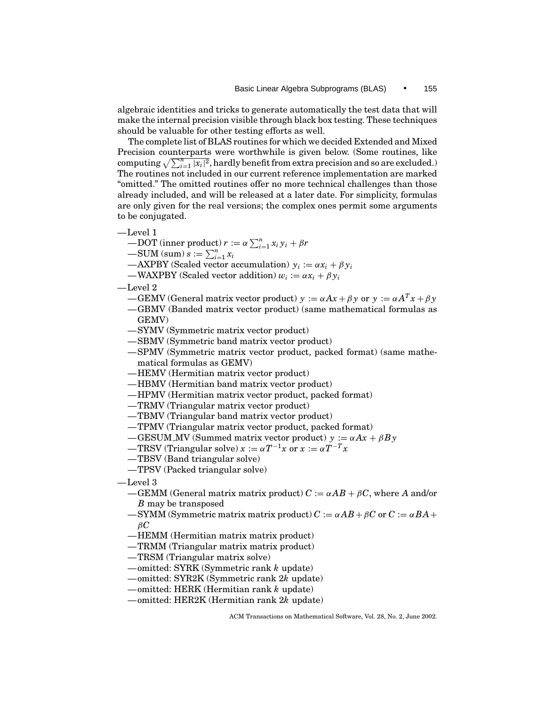algebraic identities and tricks to generate automatically the test data that will make the internal precision visible through black box testing. These techniques should be valuable for other testing efforts as well.

The complete list of BLAS routines for which we decided Extended and Mixed Precision counterparts were worthwhile is given below. (Some routines, like computing  $\sqrt{\sum_{i=1}^n |x_i|^2}$ , hardly benefit from extra precision and so are excluded.) The routines not included in our current reference implementation are marked "omitted." The omitted routines offer no more technical challenges than those already included, and will be released at a later date. For simplicity, formulas are only given for the real versions; the complex ones permit some arguments to be conjugated.

- —Level 1
	- $\leftarrow$ DOT (inner product)  $r := \alpha \sum_{i=1}^{n} x_i y_i + \beta r$
	- $-$ SUM (sum)  $s := \sum_{i=1}^{n} x_i$
	- —AXPBY (Scaled vector accumulation)  $y_i := \alpha x_i + \beta y_i$
	- $-WAXPBY$  (Scaled vector addition)  $w_i := \alpha x_i + \beta y_i$
- —Level 2
	- $-\text{GEMV}$  (General matrix vector product)  $y := \alpha Ax + \beta y$  or  $y := \alpha A^T x + \beta y$
	- —GBMV (Banded matrix vector product) (same mathematical formulas as GEMV)
	- —SYMV (Symmetric matrix vector product)
	- —SBMV (Symmetric band matrix vector product)
	- —SPMV (Symmetric matrix vector product, packed format) (same mathematical formulas as GEMV)
	- —HEMV (Hermitian matrix vector product)
	- —HBMV (Hermitian band matrix vector product)
	- —HPMV (Hermitian matrix vector product, packed format)
	- —TRMV (Triangular matrix vector product)
	- —TBMV (Triangular band matrix vector product)
	- —TPMV (Triangular matrix vector product, packed format)
	- $-$ GESUM\_MV (Summed matrix vector product)  $y := \alpha Ax + \beta By$
	- $-\text{TRSV}$  (Triangular solve)  $x := \alpha T^{-1}x$  or  $x := \alpha T^{-T}x$
	- —TBSV (Band triangular solve)
	- —TPSV (Packed triangular solve)
- —Level 3
	- $-\text{GEMM}$  (General matrix matrix product)  $C := \alpha AB + \beta C$ , where A and/or *B* may be transposed
	- $-$ SYMM (Symmetric matrix matrix product)  $C := \alpha AB + \beta C$  or  $C := \alpha BA + \beta C$  $\beta C$
	- —HEMM (Hermitian matrix matrix product)
	- —TRMM (Triangular matrix matrix product)
	- —TRSM (Triangular matrix solve)
	- —omitted: SYRK (Symmetric rank *k* update)
	- —omitted: SYR2K (Symmetric rank 2*k* update)
	- —omitted: HERK (Hermitian rank *k* update)
	- —omitted: HER2K (Hermitian rank 2*k* update)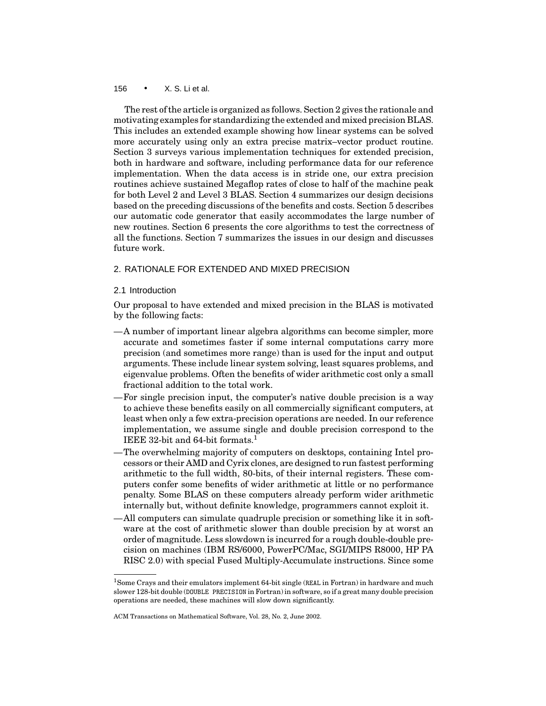The rest of the article is organized as follows. Section 2 gives the rationale and motivating examples for standardizing the extended and mixed precision BLAS. This includes an extended example showing how linear systems can be solved more accurately using only an extra precise matrix–vector product routine. Section 3 surveys various implementation techniques for extended precision, both in hardware and software, including performance data for our reference implementation. When the data access is in stride one, our extra precision routines achieve sustained Megaflop rates of close to half of the machine peak for both Level 2 and Level 3 BLAS. Section 4 summarizes our design decisions based on the preceding discussions of the benefits and costs. Section 5 describes our automatic code generator that easily accommodates the large number of new routines. Section 6 presents the core algorithms to test the correctness of all the functions. Section 7 summarizes the issues in our design and discusses future work.

# 2. RATIONALE FOR EXTENDED AND MIXED PRECISION

## 2.1 Introduction

Our proposal to have extended and mixed precision in the BLAS is motivated by the following facts:

- —A number of important linear algebra algorithms can become simpler, more accurate and sometimes faster if some internal computations carry more precision (and sometimes more range) than is used for the input and output arguments. These include linear system solving, least squares problems, and eigenvalue problems. Often the benefits of wider arithmetic cost only a small fractional addition to the total work.
- —For single precision input, the computer's native double precision is a way to achieve these benefits easily on all commercially significant computers, at least when only a few extra-precision operations are needed. In our reference implementation, we assume single and double precision correspond to the IEEE 32-bit and 64-bit formats.<sup>1</sup>
- —The overwhelming majority of computers on desktops, containing Intel processors or their AMD and Cyrix clones, are designed to run fastest performing arithmetic to the full width, 80-bits, of their internal registers. These computers confer some benefits of wider arithmetic at little or no performance penalty. Some BLAS on these computers already perform wider arithmetic internally but, without definite knowledge, programmers cannot exploit it.
- —All computers can simulate quadruple precision or something like it in software at the cost of arithmetic slower than double precision by at worst an order of magnitude. Less slowdown is incurred for a rough double-double precision on machines (IBM RS/6000, PowerPC/Mac, SGI/MIPS R8000, HP PA RISC 2.0) with special Fused Multiply-Accumulate instructions. Since some

<sup>1</sup>Some Crays and their emulators implement 64-bit single (REAL in Fortran) in hardware and much slower 128-bit double (DOUBLE PRECISION in Fortran) in software, so if a great many double precision operations are needed, these machines will slow down significantly.

ACM Transactions on Mathematical Software, Vol. 28, No. 2, June 2002.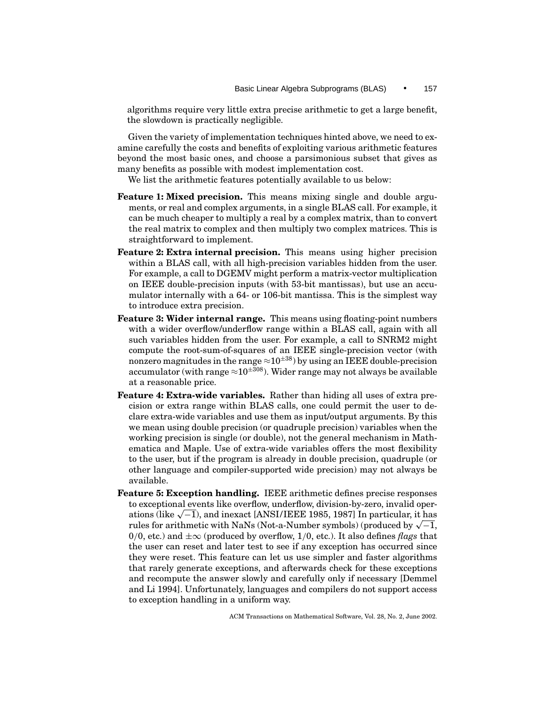algorithms require very little extra precise arithmetic to get a large benefit, the slowdown is practically negligible.

Given the variety of implementation techniques hinted above, we need to examine carefully the costs and benefits of exploiting various arithmetic features beyond the most basic ones, and choose a parsimonious subset that gives as many benefits as possible with modest implementation cost.

We list the arithmetic features potentially available to us below:

- **Feature 1: Mixed precision.** This means mixing single and double arguments, or real and complex arguments, in a single BLAS call. For example, it can be much cheaper to multiply a real by a complex matrix, than to convert the real matrix to complex and then multiply two complex matrices. This is straightforward to implement.
- **Feature 2: Extra internal precision.** This means using higher precision within a BLAS call, with all high-precision variables hidden from the user. For example, a call to DGEMV might perform a matrix-vector multiplication on IEEE double-precision inputs (with 53-bit mantissas), but use an accumulator internally with a 64- or 106-bit mantissa. This is the simplest way to introduce extra precision.
- **Feature 3: Wider internal range.** This means using floating-point numbers with a wider overflow/underflow range within a BLAS call, again with all such variables hidden from the user. For example, a call to SNRM2 might compute the root-sum-of-squares of an IEEE single-precision vector (with nonzero magnitudes in the range  $\approx$ 10<sup> $\pm$ 38</sup>) by using an IEEE double-precision accumulator (with range  $\approx 10^{\pm 308}$ ). Wider range may not always be available at a reasonable price.
- **Feature 4: Extra-wide variables.** Rather than hiding all uses of extra precision or extra range within BLAS calls, one could permit the user to declare extra-wide variables and use them as input/output arguments. By this we mean using double precision (or quadruple precision) variables when the working precision is single (or double), not the general mechanism in Mathematica and Maple. Use of extra-wide variables offers the most flexibility to the user, but if the program is already in double precision, quadruple (or other language and compiler-supported wide precision) may not always be available.
- **Feature 5: Exception handling.** IEEE arithmetic defines precise responses to exceptional events like overflow, underflow, division-by-zero, invalid operations (like  $\sqrt{-1}$ ), and inexact [ANSI/IEEE 1985, 1987] In particular, it has rules for arithmetic with NaNs (Not-a-Number symbols) (produced by  $\sqrt{-1}$ , 0/0, etc.) and  $\pm \infty$  (produced by overflow, 1/0, etc.). It also defines *flags* that the user can reset and later test to see if any exception has occurred since they were reset. This feature can let us use simpler and faster algorithms that rarely generate exceptions, and afterwards check for these exceptions and recompute the answer slowly and carefully only if necessary [Demmel and Li 1994]. Unfortunately, languages and compilers do not support access to exception handling in a uniform way.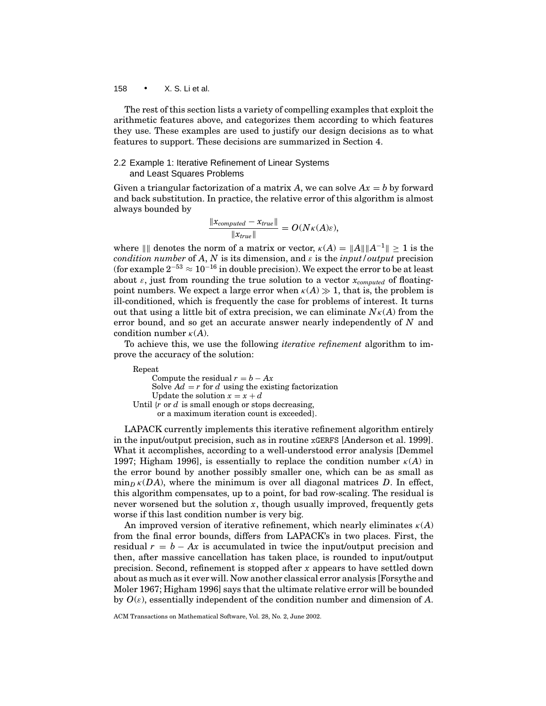The rest of this section lists a variety of compelling examples that exploit the arithmetic features above, and categorizes them according to which features they use. These examples are used to justify our design decisions as to what features to support. These decisions are summarized in Section 4.

# 2.2 Example 1: Iterative Refinement of Linear Systems and Least Squares Problems

Given a triangular factorization of a matrix A, we can solve  $Ax = b$  by forward and back substitution. In practice, the relative error of this algorithm is almost always bounded by

$$
\frac{\|x_{computed} - x_{true}\|}{\|x_{true}\|} = O(N\kappa(A)\varepsilon),
$$

where  $\| \text{ } \|$  denotes the norm of a matrix or vector,  $\kappa(A) = \|A\| \|A^{-1}\| \geq 1$  is the *condition number* of A, N is its dimension, and  $\varepsilon$  is the *input/output* precision (for example  $2^{-53} \approx 10^{-16}$  in double precision). We expect the error to be at least about  $\varepsilon$ , just from rounding the true solution to a vector  $x_{computed}$  of floatingpoint numbers. We expect a large error when  $\kappa(A) \gg 1$ , that is, the problem is ill-conditioned, which is frequently the case for problems of interest. It turns out that using a little bit of extra precision, we can eliminate  $N\kappa(A)$  from the error bound, and so get an accurate answer nearly independently of *N* and condition number  $\kappa(A)$ .

To achieve this, we use the following *iterative refinement* algorithm to improve the accuracy of the solution:

Repeat

Compute the residual  $r = b - Ax$ Solve  $Ad = r$  for *d* using the existing factorization Update the solution  $x = x + d$ Until {*r* or *d* is small enough or stops decreasing, or a maximum iteration count is exceeded}.

LAPACK currently implements this iterative refinement algorithm entirely in the input/output precision, such as in routine xGERFS [Anderson et al. 1999]. What it accomplishes, according to a well-understood error analysis [Demmel 1997; Higham 1996], is essentially to replace the condition number  $\kappa(A)$  in the error bound by another possibly smaller one, which can be as small as  $\min_{D} \kappa(DA)$ , where the minimum is over all diagonal matrices *D*. In effect, this algorithm compensates, up to a point, for bad row-scaling. The residual is never worsened but the solution  $x$ , though usually improved, frequently gets worse if this last condition number is very big.

An improved version of iterative refinement, which nearly eliminates  $\kappa(A)$ from the final error bounds, differs from LAPACK's in two places. First, the residual  $r = b - Ax$  is accumulated in twice the input/output precision and then, after massive cancellation has taken place, is rounded to input/output precision. Second, refinement is stopped after *x* appears to have settled down about as much as it ever will. Now another classical error analysis [Forsythe and Moler 1967; Higham 1996] says that the ultimate relative error will be bounded by  $O(\varepsilon)$ , essentially independent of the condition number and dimension of A.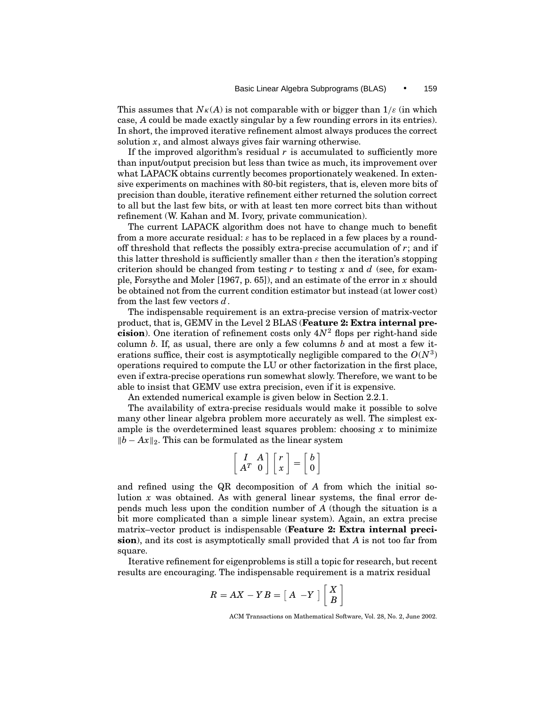This assumes that  $N_{\kappa}(A)$  is not comparable with or bigger than  $1/\varepsilon$  (in which case, *A* could be made exactly singular by a few rounding errors in its entries). In short, the improved iterative refinement almost always produces the correct solution *x*, and almost always gives fair warning otherwise.

If the improved algorithm's residual  $r$  is accumulated to sufficiently more than input/output precision but less than twice as much, its improvement over what LAPACK obtains currently becomes proportionately weakened. In extensive experiments on machines with 80-bit registers, that is, eleven more bits of precision than double, iterative refinement either returned the solution correct to all but the last few bits, or with at least ten more correct bits than without refinement (W. Kahan and M. Ivory, private communication).

The current LAPACK algorithm does not have to change much to benefit from a more accurate residual:  $\varepsilon$  has to be replaced in a few places by a roundoff threshold that reflects the possibly extra-precise accumulation of *r*; and if this latter threshold is sufficiently smaller than  $\varepsilon$  then the iteration's stopping criterion should be changed from testing  $r$  to testing  $x$  and  $d$  (see, for example, Forsythe and Moler [1967, p. 65]), and an estimate of the error in *x* should be obtained not from the current condition estimator but instead (at lower cost) from the last few vectors *d*.

The indispensable requirement is an extra-precise version of matrix-vector product, that is, GEMV in the Level 2 BLAS (**Feature 2: Extra internal precision**). One iteration of refinement costs only  $4N^2$  flops per right-hand side column *b*. If, as usual, there are only a few columns *b* and at most a few iterations suffice, their cost is asymptotically negligible compared to the  $O(N^3)$ operations required to compute the LU or other factorization in the first place, even if extra-precise operations run somewhat slowly. Therefore, we want to be able to insist that GEMV use extra precision, even if it is expensive.

An extended numerical example is given below in Section 2.2.1.

The availability of extra-precise residuals would make it possible to solve many other linear algebra problem more accurately as well. The simplest example is the overdetermined least squares problem: choosing *x* to minimize  $||b - Ax||_2$ . This can be formulated as the linear system

$$
\begin{bmatrix} I & A \\ A^T & 0 \end{bmatrix} \begin{bmatrix} r \\ x \end{bmatrix} = \begin{bmatrix} b \\ 0 \end{bmatrix}
$$

and refined using the QR decomposition of *A* from which the initial solution *x* was obtained. As with general linear systems, the final error depends much less upon the condition number of *A* (though the situation is a bit more complicated than a simple linear system). Again, an extra precise matrix–vector product is indispensable (**Feature 2: Extra internal precision**), and its cost is asymptotically small provided that *A* is not too far from square.

Iterative refinement for eigenproblems is still a topic for research, but recent results are encouraging. The indispensable requirement is a matrix residual

$$
R = AX - YB = [A - Y] \begin{bmatrix} X \\ B \end{bmatrix}
$$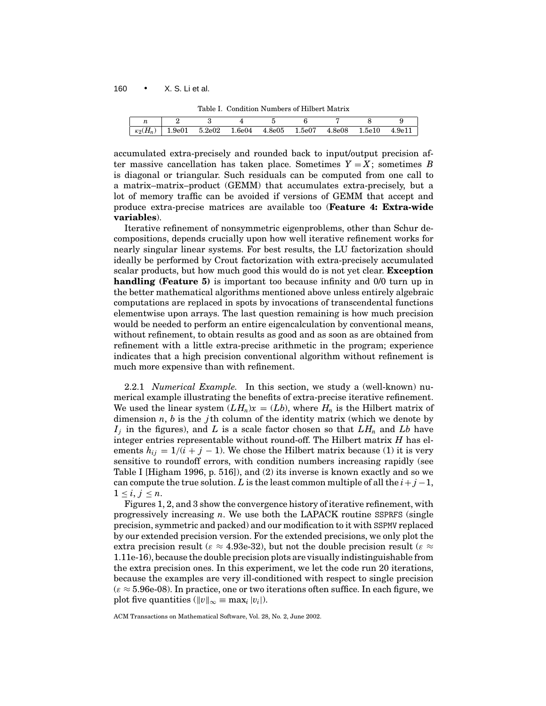|  |  |  | Table I. Condition Numbers of Hilbert Matrix |  |
|--|--|--|----------------------------------------------|--|
|--|--|--|----------------------------------------------|--|

| 70<br>1 U       |                     |        |        |        |        |        |        |      |
|-----------------|---------------------|--------|--------|--------|--------|--------|--------|------|
| $\kappa_2(H_n)$ | $1.9\mathrm{e}{01}$ | 5.2e02 | 1.6e04 | 4.8e05 | 1.5e07 | 4.8e08 | 1.5e10 | 4.9e |

accumulated extra-precisely and rounded back to input/output precision after massive cancellation has taken place. Sometimes  $Y = X$ ; sometimes *B* is diagonal or triangular. Such residuals can be computed from one call to a matrix–matrix–product (GEMM) that accumulates extra-precisely, but a lot of memory traffic can be avoided if versions of GEMM that accept and produce extra-precise matrices are available too (**Feature 4: Extra-wide variables**).

Iterative refinement of nonsymmetric eigenproblems, other than Schur decompositions, depends crucially upon how well iterative refinement works for nearly singular linear systems. For best results, the LU factorization should ideally be performed by Crout factorization with extra-precisely accumulated scalar products, but how much good this would do is not yet clear. **Exception handling (Feature 5)** is important too because infinity and 0/0 turn up in the better mathematical algorithms mentioned above unless entirely algebraic computations are replaced in spots by invocations of transcendental functions elementwise upon arrays. The last question remaining is how much precision would be needed to perform an entire eigencalculation by conventional means, without refinement, to obtain results as good and as soon as are obtained from refinement with a little extra-precise arithmetic in the program; experience indicates that a high precision conventional algorithm without refinement is much more expensive than with refinement.

2.2.1 *Numerical Example.* In this section, we study a (well-known) numerical example illustrating the benefits of extra-precise iterative refinement. We used the linear system  $(LH_n)x = (Lb)$ , where  $H_n$  is the Hilbert matrix of dimension *n*, *b* is the *j*th column of the identity matrix (which we denote by  $I_i$  in the figures), and *L* is a scale factor chosen so that  $LH_n$  and  $Lb$  have integer entries representable without round-off. The Hilbert matrix *H* has elements  $h_{ij} = 1/(i + j - 1)$ . We chose the Hilbert matrix because (1) it is very sensitive to roundoff errors, with condition numbers increasing rapidly (see Table I [Higham 1996, p. 516]), and (2) its inverse is known exactly and so we can compute the true solution. *L* is the least common multiple of all the  $i + j - 1$ ,  $1 \leq i, j \leq n$ .

Figures 1, 2, and 3 show the convergence history of iterative refinement, with progressively increasing *n*. We use both the LAPACK routine SSPRFS (single precision, symmetric and packed) and our modification to it with SSPMV replaced by our extended precision version. For the extended precisions, we only plot the extra precision result ( $\varepsilon \approx 4.93e-32$ ), but not the double precision result ( $\varepsilon \approx$ 1.11e-16), because the double precision plots are visually indistinguishable from the extra precision ones. In this experiment, we let the code run 20 iterations, because the examples are very ill-conditioned with respect to single precision  $(\varepsilon \approx 5.96e-08)$ . In practice, one or two iterations often suffice. In each figure, we plot five quantities ( $||v||_{\infty} \equiv \max_i |v_i|$ ).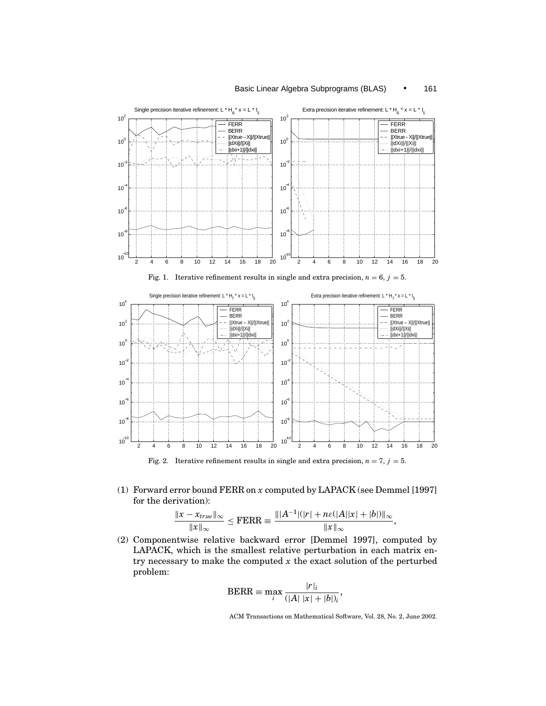# Basic Linear Algebra Subprograms (BLAS) • 161



Fig. 2. Iterative refinement results in single and extra precision,  $n = 7$ ,  $j = 5$ .

(1) Forward error bound FERR on *x* computed by LAPACK (see Demmel [1997] for the derivation):

$$
\frac{\|x - x_{true}\|_{\infty}}{\|x\|_{\infty}} \leq \text{FERR} \equiv \frac{\||A^{-1}|(|r| + n\varepsilon(|A||x| + |b|)\|_{\infty}}{\|x\|_{\infty}},
$$

(2) Componentwise relative backward error [Demmel 1997], computed by LAPACK, which is the smallest relative perturbation in each matrix entry necessary to make the computed  $x$  the exact solution of the perturbed problem:

$$
BERR \equiv \max_{i} \frac{|r|_i}{(|A| |x| + |b|)_i},
$$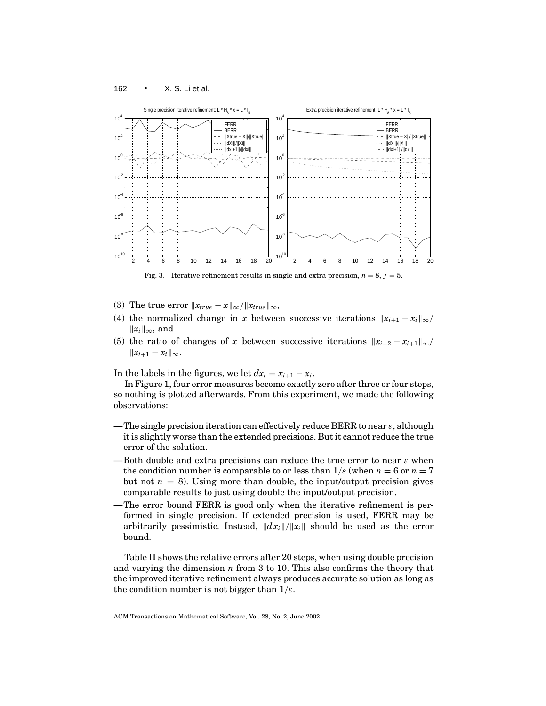

- 
- (3) The true error  $||x_{true} x||_{\infty}/||x_{true}||_{\infty}$ ,
- (4) the normalized change in *x* between successive iterations  $||x_{i+1} x_i||_{\infty}$ /  $||x_i||_{\infty}$ , and
- (5) the ratio of changes of *x* between successive iterations  $||x_{i+2} x_{i+1}||_{\infty}/$  $||x_{i+1} - x_i||_{\infty}$ .

In the labels in the figures, we let  $dx_i = x_{i+1} - x_i$ .

In Figure 1, four error measures become exactly zero after three or four steps, so nothing is plotted afterwards. From this experiment, we made the following observations:

- —The single precision iteration can effectively reduce BERR to near  $\varepsilon$ , although it is slightly worse than the extended precisions. But it cannot reduce the true error of the solution.
- -Both double and extra precisions can reduce the true error to near  $\varepsilon$  when the condition number is comparable to or less than  $1/\varepsilon$  (when  $n = 6$  or  $n = 7$ but not  $n = 8$ ). Using more than double, the input/output precision gives comparable results to just using double the input/output precision.
- —The error bound FERR is good only when the iterative refinement is performed in single precision. If extended precision is used, FERR may be arbitrarily pessimistic. Instead,  $\|dx_i\|/\|x_i\|$  should be used as the error bound.

Table II shows the relative errors after 20 steps, when using double precision and varying the dimension *n* from 3 to 10. This also confirms the theory that the improved iterative refinement always produces accurate solution as long as the condition number is not bigger than  $1/\varepsilon$ .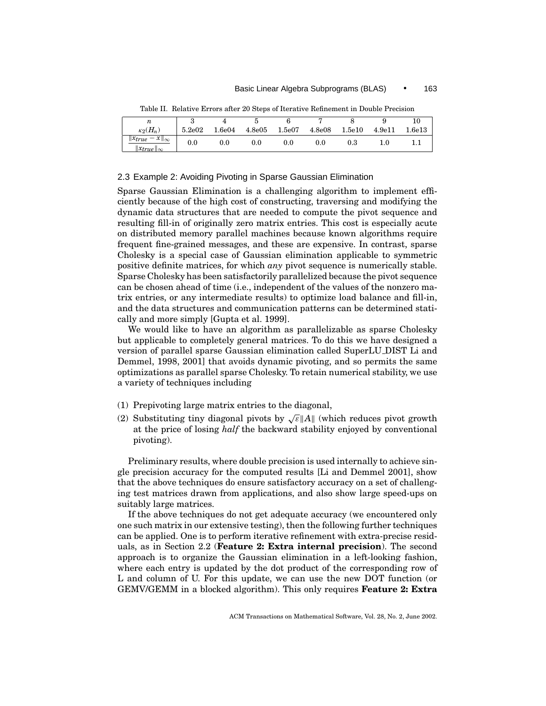| $\mu$                                       |        |         |         |                     |        |           |        |        |
|---------------------------------------------|--------|---------|---------|---------------------|--------|-----------|--------|--------|
| $\kappa_2(H_n)$                             | 5.2e02 | 1.6e04  | 4.8e05  | $1.5\mathrm{e}{07}$ | 4.8e08 | 1.5e10    | 4.9e11 | 1.6e13 |
| $  x_{true} - x  _{\infty}$<br>$\ x_{true}$ | 0.0    | $0.0\,$ | $0.0\,$ | 0.0                 | 0.0    | $\rm 0.3$ |        |        |

Table II. Relative Errors after 20 Steps of Iterative Refinement in Double Precision

#### 2.3 Example 2: Avoiding Pivoting in Sparse Gaussian Elimination

Sparse Gaussian Elimination is a challenging algorithm to implement efficiently because of the high cost of constructing, traversing and modifying the dynamic data structures that are needed to compute the pivot sequence and resulting fill-in of originally zero matrix entries. This cost is especially acute on distributed memory parallel machines because known algorithms require frequent fine-grained messages, and these are expensive. In contrast, sparse Cholesky is a special case of Gaussian elimination applicable to symmetric positive definite matrices, for which *any* pivot sequence is numerically stable. Sparse Cholesky has been satisfactorily parallelized because the pivot sequence can be chosen ahead of time (i.e., independent of the values of the nonzero matrix entries, or any intermediate results) to optimize load balance and fill-in, and the data structures and communication patterns can be determined statically and more simply [Gupta et al. 1999].

We would like to have an algorithm as parallelizable as sparse Cholesky but applicable to completely general matrices. To do this we have designed a version of parallel sparse Gaussian elimination called SuperLU DIST Li and Demmel, 1998, 2001] that avoids dynamic pivoting, and so permits the same optimizations as parallel sparse Cholesky. To retain numerical stability, we use a variety of techniques including

- (1) Prepivoting large matrix entries to the diagonal,
- (2) Substituting tiny diagonal pivots by  $\sqrt{\varepsilon}$  *A*|| (which reduces pivot growth at the price of losing *half* the backward stability enjoyed by conventional pivoting).

Preliminary results, where double precision is used internally to achieve single precision accuracy for the computed results [Li and Demmel 2001], show that the above techniques do ensure satisfactory accuracy on a set of challenging test matrices drawn from applications, and also show large speed-ups on suitably large matrices.

If the above techniques do not get adequate accuracy (we encountered only one such matrix in our extensive testing), then the following further techniques can be applied. One is to perform iterative refinement with extra-precise residuals, as in Section 2.2 (**Feature 2: Extra internal precision**). The second approach is to organize the Gaussian elimination in a left-looking fashion, where each entry is updated by the dot product of the corresponding row of L and column of U. For this update, we can use the new DOT function (or GEMV/GEMM in a blocked algorithm). This only requires **Feature 2: Extra**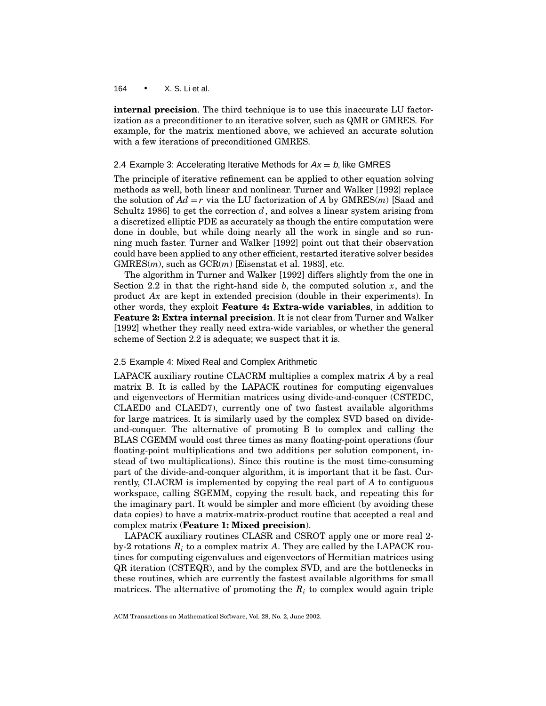**internal precision**. The third technique is to use this inaccurate LU factorization as a preconditioner to an iterative solver, such as QMR or GMRES. For example, for the matrix mentioned above, we achieved an accurate solution with a few iterations of preconditioned GMRES.

#### 2.4 Example 3: Accelerating Iterative Methods for  $Ax = b$ , like GMRES

The principle of iterative refinement can be applied to other equation solving methods as well, both linear and nonlinear. Turner and Walker [1992] replace the solution of  $Ad = r$  via the LU factorization of A by GMRES(*m*) [Saad and Schultz 1986] to get the correction *d*, and solves a linear system arising from a discretized elliptic PDE as accurately as though the entire computation were done in double, but while doing nearly all the work in single and so running much faster. Turner and Walker [1992] point out that their observation could have been applied to any other efficient, restarted iterative solver besides GMRES(*m*), such as GCR(*m*) [Eisenstat et al. 1983], etc.

The algorithm in Turner and Walker [1992] differs slightly from the one in Section 2.2 in that the right-hand side  $b$ , the computed solution  $x$ , and the product *Ax* are kept in extended precision (double in their experiments). In other words, they exploit **Feature 4: Extra-wide variables**, in addition to **Feature 2: Extra internal precision**. It is not clear from Turner and Walker [1992] whether they really need extra-wide variables, or whether the general scheme of Section 2.2 is adequate; we suspect that it is.

## 2.5 Example 4: Mixed Real and Complex Arithmetic

LAPACK auxiliary routine CLACRM multiplies a complex matrix *A* by a real matrix B. It is called by the LAPACK routines for computing eigenvalues and eigenvectors of Hermitian matrices using divide-and-conquer (CSTEDC, CLAED0 and CLAED7), currently one of two fastest available algorithms for large matrices. It is similarly used by the complex SVD based on divideand-conquer. The alternative of promoting B to complex and calling the BLAS CGEMM would cost three times as many floating-point operations (four floating-point multiplications and two additions per solution component, instead of two multiplications). Since this routine is the most time-consuming part of the divide-and-conquer algorithm, it is important that it be fast. Currently, CLACRM is implemented by copying the real part of *A* to contiguous workspace, calling SGEMM, copying the result back, and repeating this for the imaginary part. It would be simpler and more efficient (by avoiding these data copies) to have a matrix-matrix-product routine that accepted a real and complex matrix (**Feature 1: Mixed precision**).

LAPACK auxiliary routines CLASR and CSROT apply one or more real 2 by-2 rotations  $R_i$  to a complex matrix A. They are called by the LAPACK routines for computing eigenvalues and eigenvectors of Hermitian matrices using QR iteration (CSTEQR), and by the complex SVD, and are the bottlenecks in these routines, which are currently the fastest available algorithms for small matrices. The alternative of promoting the  $R_i$  to complex would again triple

ACM Transactions on Mathematical Software, Vol. 28, No. 2, June 2002.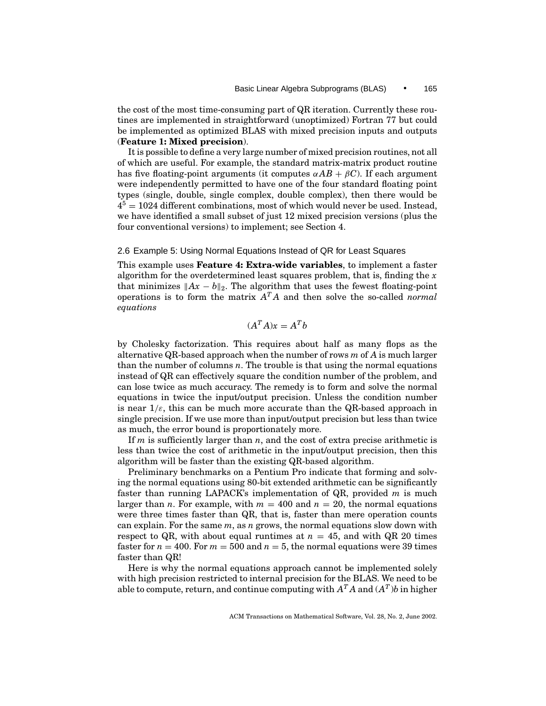the cost of the most time-consuming part of QR iteration. Currently these routines are implemented in straightforward (unoptimized) Fortran 77 but could be implemented as optimized BLAS with mixed precision inputs and outputs (**Feature 1: Mixed precision**).

It is possible to define a very large number of mixed precision routines, not all of which are useful. For example, the standard matrix-matrix product routine has five floating-point arguments (it computes  $\alpha AB + \beta C$ ). If each argument were independently permitted to have one of the four standard floating point types (single, double, single complex, double complex), then there would be  $4<sup>5</sup> = 1024$  different combinations, most of which would never be used. Instead, we have identified a small subset of just 12 mixed precision versions (plus the four conventional versions) to implement; see Section 4.

## 2.6 Example 5: Using Normal Equations Instead of QR for Least Squares

This example uses **Feature 4: Extra-wide variables**, to implement a faster algorithm for the overdetermined least squares problem, that is, finding the *x* that minimizes  $||Ax - b||_2$ . The algorithm that uses the fewest floating-point operations is to form the matrix *AT A* and then solve the so-called *normal equations*

$$
(A^T A)x = A^T b
$$

by Cholesky factorization. This requires about half as many flops as the alternative QR-based approach when the number of rows *m* of *A* is much larger than the number of columns *n*. The trouble is that using the normal equations instead of QR can effectively square the condition number of the problem, and can lose twice as much accuracy. The remedy is to form and solve the normal equations in twice the input/output precision. Unless the condition number is near  $1/\varepsilon$ , this can be much more accurate than the QR-based approach in single precision. If we use more than input/output precision but less than twice as much, the error bound is proportionately more.

If *m* is sufficiently larger than *n*, and the cost of extra precise arithmetic is less than twice the cost of arithmetic in the input/output precision, then this algorithm will be faster than the existing QR-based algorithm.

Preliminary benchmarks on a Pentium Pro indicate that forming and solving the normal equations using 80-bit extended arithmetic can be significantly faster than running LAPACK's implementation of QR, provided *m* is much larger than *n*. For example, with  $m = 400$  and  $n = 20$ , the normal equations were three times faster than QR, that is, faster than mere operation counts can explain. For the same *m*, as *n* grows, the normal equations slow down with respect to QR, with about equal runtimes at  $n = 45$ , and with QR 20 times faster for  $n = 400$ . For  $m = 500$  and  $n = 5$ , the normal equations were 39 times faster than QR!

Here is why the normal equations approach cannot be implemented solely with high precision restricted to internal precision for the BLAS. We need to be able to compute, return, and continue computing with  $A<sup>T</sup>A$  and  $(A<sup>T</sup>)b$  in higher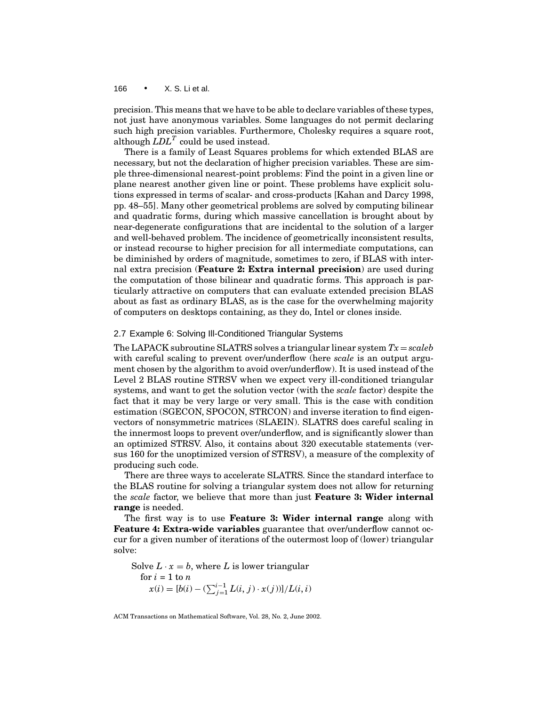precision. This means that we have to be able to declare variables of these types, not just have anonymous variables. Some languages do not permit declaring such high precision variables. Furthermore, Cholesky requires a square root, although  $LDL<sup>T</sup>$  could be used instead.

There is a family of Least Squares problems for which extended BLAS are necessary, but not the declaration of higher precision variables. These are simple three-dimensional nearest-point problems: Find the point in a given line or plane nearest another given line or point. These problems have explicit solutions expressed in terms of scalar- and cross-products [Kahan and Darcy 1998, pp. 48–55]. Many other geometrical problems are solved by computing bilinear and quadratic forms, during which massive cancellation is brought about by near-degenerate configurations that are incidental to the solution of a larger and well-behaved problem. The incidence of geometrically inconsistent results, or instead recourse to higher precision for all intermediate computations, can be diminished by orders of magnitude, sometimes to zero, if BLAS with internal extra precision (**Feature 2: Extra internal precision**) are used during the computation of those bilinear and quadratic forms. This approach is particularly attractive on computers that can evaluate extended precision BLAS about as fast as ordinary BLAS, as is the case for the overwhelming majority of computers on desktops containing, as they do, Intel or clones inside.

# 2.7 Example 6: Solving Ill-Conditioned Triangular Systems

The LAPACK subroutine SLATRS solves a triangular linear system *Tx* = *scaleb* with careful scaling to prevent over/underflow (here *scale* is an output argument chosen by the algorithm to avoid over/underflow). It is used instead of the Level 2 BLAS routine STRSV when we expect very ill-conditioned triangular systems, and want to get the solution vector (with the *scale* factor) despite the fact that it may be very large or very small. This is the case with condition estimation (SGECON, SPOCON, STRCON) and inverse iteration to find eigenvectors of nonsymmetric matrices (SLAEIN). SLATRS does careful scaling in the innermost loops to prevent over/underflow, and is significantly slower than an optimized STRSV. Also, it contains about 320 executable statements (versus 160 for the unoptimized version of STRSV), a measure of the complexity of producing such code.

There are three ways to accelerate SLATRS. Since the standard interface to the BLAS routine for solving a triangular system does not allow for returning the *scale* factor, we believe that more than just **Feature 3: Wider internal range** is needed.

The first way is to use **Feature 3: Wider internal range** along with **Feature 4: Extra-wide variables** guarantee that over/underflow cannot occur for a given number of iterations of the outermost loop of (lower) triangular solve:

Solve  $L \cdot x = b$ , where L is lower triangular for  $i = 1$  to  $n$  $x(i) = [b(i) - (\sum_{j=1}^{i-1} L(i, j) \cdot x(j))] / L(i, i)$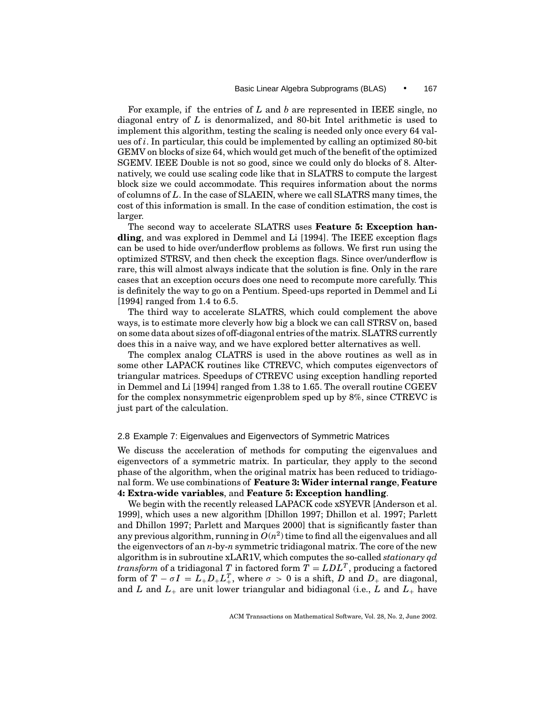For example, if the entries of *L* and *b* are represented in IEEE single, no diagonal entry of *L* is denormalized, and 80-bit Intel arithmetic is used to implement this algorithm, testing the scaling is needed only once every 64 values of *i*. In particular, this could be implemented by calling an optimized 80-bit GEMV on blocks of size 64, which would get much of the benefit of the optimized SGEMV. IEEE Double is not so good, since we could only do blocks of 8. Alternatively, we could use scaling code like that in SLATRS to compute the largest block size we could accommodate. This requires information about the norms of columns of *L*. In the case of SLAEIN, where we call SLATRS many times, the cost of this information is small. In the case of condition estimation, the cost is larger.

The second way to accelerate SLATRS uses **Feature 5: Exception handling**, and was explored in Demmel and Li [1994]. The IEEE exception flags can be used to hide over/underflow problems as follows. We first run using the optimized STRSV, and then check the exception flags. Since over/underflow is rare, this will almost always indicate that the solution is fine. Only in the rare cases that an exception occurs does one need to recompute more carefully. This is definitely the way to go on a Pentium. Speed-ups reported in Demmel and Li [1994] ranged from 1.4 to 6.5.

The third way to accelerate SLATRS, which could complement the above ways, is to estimate more cleverly how big a block we can call STRSV on, based on some data about sizes of off-diagonal entries of the matrix. SLATRS currently does this in a naive way, and we have explored better alternatives as well.

The complex analog CLATRS is used in the above routines as well as in some other LAPACK routines like CTREVC, which computes eigenvectors of triangular matrices. Speedups of CTREVC using exception handling reported in Demmel and Li [1994] ranged from 1.38 to 1.65. The overall routine CGEEV for the complex nonsymmetric eigenproblem sped up by 8%, since CTREVC is just part of the calculation.

# 2.8 Example 7: Eigenvalues and Eigenvectors of Symmetric Matrices

We discuss the acceleration of methods for computing the eigenvalues and eigenvectors of a symmetric matrix. In particular, they apply to the second phase of the algorithm, when the original matrix has been reduced to tridiagonal form. We use combinations of **Feature 3: Wider internal range**, **Feature 4: Extra-wide variables**, and **Feature 5: Exception handling**.

We begin with the recently released LAPACK code xSYEVR [Anderson et al. 1999], which uses a new algorithm [Dhillon 1997; Dhillon et al. 1997; Parlett and Dhillon 1997; Parlett and Marques 2000] that is significantly faster than any previous algorithm, running in  $O(n^2)$  time to find all the eigenvalues and all the eigenvectors of an *n*-by-*n* symmetric tridiagonal matrix. The core of the new algorithm is in subroutine xLAR1V, which computes the so-called *stationary qd transform* of a tridiagonal *T* in factored form  $T = LDL^T$ , producing a factored form of  $T - \sigma I = L_+ D_+ L_+^T$ , where  $\sigma > 0$  is a shift,  $D$  and  $D_+$  are diagonal, and *L* and  $L_{+}$  are unit lower triangular and bidiagonal (i.e., *L* and  $L_{+}$  have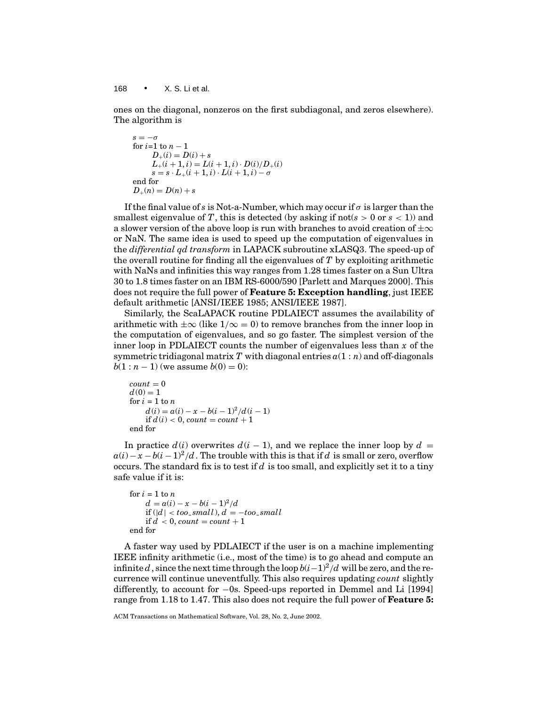ones on the diagonal, nonzeros on the first subdiagonal, and zeros elsewhere). The algorithm is

```
s = -\sigmafor i=1 to n-1D_{+}(i) = D(i) + sL_{+}(i + 1, i) = L(i + 1, i) \cdot D(i)/D_{+}(i)s = s \cdot L_{+}(i + 1, i) \cdot L(i + 1, i) - \sigmaend for
D_{+}(n) = D(n) + s
```
If the final value of *s* is Not-a-Number, which may occur if  $\sigma$  is larger than the smallest eigenvalue of *T*, this is detected (by asking if not( $s > 0$  or  $s < 1$ )) and a slower version of the above loop is run with branches to avoid creation of  $\pm \infty$ or NaN. The same idea is used to speed up the computation of eigenvalues in the *differential qd transform* in LAPACK subroutine xLASQ3. The speed-up of the overall routine for finding all the eigenvalues of *T* by exploiting arithmetic with NaNs and infinities this way ranges from 1.28 times faster on a Sun Ultra 30 to 1.8 times faster on an IBM RS-6000/590 [Parlett and Marques 2000]. This does not require the full power of **Feature 5: Exception handling**, just IEEE default arithmetic [ANSI/IEEE 1985; ANSI/IEEE 1987].

Similarly, the ScaLAPACK routine PDLAIECT assumes the availability of arithmetic with  $\pm \infty$  (like  $1/\infty = 0$ ) to remove branches from the inner loop in the computation of eigenvalues, and so go faster. The simplest version of the inner loop in PDLAIECT counts the number of eigenvalues less than *x* of the symmetric tridiagonal matrix  $T$  with diagonal entries  $a(1:n)$  and off-diagonals  $b(1:n-1)$  (we assume  $b(0) = 0$ ):

```
count = 0d(0) = 1for i = 1 to nd(i) = a(i) - x - b(i-1)^2/d(i-1)if d(i) < 0, count = count + 1
end for
```
In practice  $d(i)$  overwrites  $d(i - 1)$ , and we replace the inner loop by  $d =$  $a(i) - x - b(i-1)^2/d$ . The trouble with this is that if *d* is small or zero, overflow occurs. The standard fix is to test if *d* is too small, and explicitly set it to a tiny safe value if it is:

```
for i = 1 to nd = a(i) - x - b(i - 1)^2/dif (|d| < too small), d = −too small
    if d < 0, count = count + 1
end for
```
A faster way used by PDLAIECT if the user is on a machine implementing IEEE infinity arithmetic (i.e., most of the time) is to go ahead and compute an infinite *d*, since the next time through the loop  $b(i-1)^2/d$  will be zero, and the recurrence will continue uneventfully. This also requires updating *count* slightly differently, to account for −0s. Speed-ups reported in Demmel and Li [1994] range from 1.18 to 1.47. This also does not require the full power of **Feature 5:**

ACM Transactions on Mathematical Software, Vol. 28, No. 2, June 2002.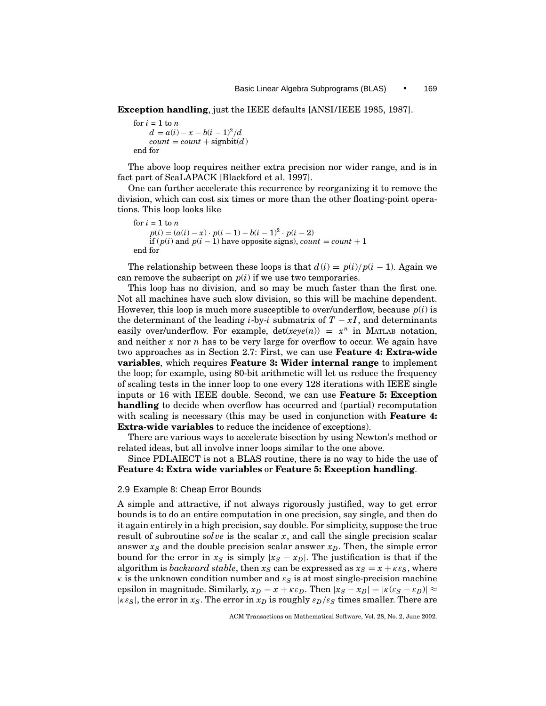**Exception handling**, just the IEEE defaults [ANSI/IEEE 1985, 1987].

```
for i = 1 to nd = a(i) - x - b(i-1)^2/dcount = count + signbit(d)end for
```
The above loop requires neither extra precision nor wider range, and is in fact part of ScaLAPACK [Blackford et al. 1997].

One can further accelerate this recurrence by reorganizing it to remove the division, which can cost six times or more than the other floating-point operations. This loop looks like

```
for i = 1 to np(i) = (a(i) - x) \cdot p(i-1) - b(i-1)^2 \cdot p(i-2)if (p(i) and p(i - 1) have opposite signs), count = count + 1
end for
```
The relationship between these loops is that  $d(i) = p(i)/p(i-1)$ . Again we can remove the subscript on  $p(i)$  if we use two temporaries.

This loop has no division, and so may be much faster than the first one. Not all machines have such slow division, so this will be machine dependent. However, this loop is much more susceptible to over/underflow, because  $p(i)$  is the determinant of the leading  $i$ -by- $i$  submatrix of  $T - xI$ , and determinants easily over/underflow. For example,  $\det(xeye(n)) = x^n$  in MATLAB notation, and neither *x* nor *n* has to be very large for overflow to occur. We again have two approaches as in Section 2.7: First, we can use **Feature 4: Extra-wide variables**, which requires **Feature 3: Wider internal range** to implement the loop; for example, using 80-bit arithmetic will let us reduce the frequency of scaling tests in the inner loop to one every 128 iterations with IEEE single inputs or 16 with IEEE double. Second, we can use **Feature 5: Exception handling** to decide when overflow has occurred and (partial) recomputation with scaling is necessary (this may be used in conjunction with **Feature 4: Extra-wide variables** to reduce the incidence of exceptions).

There are various ways to accelerate bisection by using Newton's method or related ideas, but all involve inner loops similar to the one above.

Since PDLAIECT is not a BLAS routine, there is no way to hide the use of **Feature 4: Extra wide variables** or **Feature 5: Exception handling**.

#### 2.9 Example 8: Cheap Error Bounds

A simple and attractive, if not always rigorously justified, way to get error bounds is to do an entire computation in one precision, say single, and then do it again entirely in a high precision, say double. For simplicity, suppose the true result of subroutine *solve* is the scalar *x*, and call the single precision scalar answer  $x<sub>S</sub>$  and the double precision scalar answer  $x<sub>D</sub>$ . Then, the simple error bound for the error in  $x_S$  is simply  $|x_S - x_D|$ . The justification is that if the algorithm is *backward stable*, then  $x_S$  can be expressed as  $x_S = x + \kappa \varepsilon_S$ , where  $\kappa$  is the unknown condition number and  $\varepsilon_S$  is at most single-precision machine epsilon in magnitude. Similarly,  $x_D = x + \kappa \varepsilon_D$ . Then  $|x_S - x_D| = |\kappa (\varepsilon_S - \varepsilon_D)| \approx$  $|\kappa \varepsilon_S|$ , the error in  $x_S$ . The error in  $x_D$  is roughly  $\varepsilon_D/\varepsilon_S$  times smaller. There are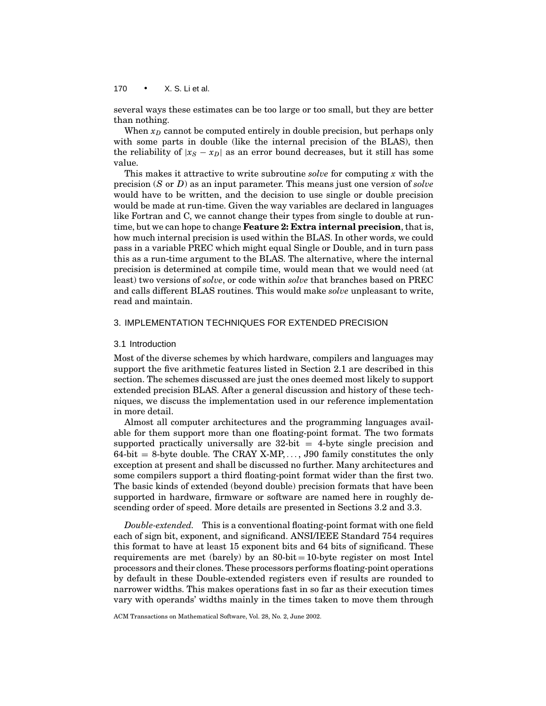several ways these estimates can be too large or too small, but they are better than nothing.

When  $x_D$  cannot be computed entirely in double precision, but perhaps only with some parts in double (like the internal precision of the BLAS), then the reliability of  $|x_S - x_D|$  as an error bound decreases, but it still has some value.

This makes it attractive to write subroutine *solve* for computing *x* with the precision (*S* or *D*) as an input parameter. This means just one version of *solve* would have to be written, and the decision to use single or double precision would be made at run-time. Given the way variables are declared in languages like Fortran and C, we cannot change their types from single to double at runtime, but we can hope to change **Feature 2: Extra internal precision**, that is, how much internal precision is used within the BLAS. In other words, we could pass in a variable PREC which might equal Single or Double, and in turn pass this as a run-time argument to the BLAS. The alternative, where the internal precision is determined at compile time, would mean that we would need (at least) two versions of *solve*, or code within *solve* that branches based on PREC and calls different BLAS routines. This would make *solve* unpleasant to write, read and maintain.

# 3. IMPLEMENTATION TECHNIQUES FOR EXTENDED PRECISION

#### 3.1 Introduction

Most of the diverse schemes by which hardware, compilers and languages may support the five arithmetic features listed in Section 2.1 are described in this section. The schemes discussed are just the ones deemed most likely to support extended precision BLAS. After a general discussion and history of these techniques, we discuss the implementation used in our reference implementation in more detail.

Almost all computer architectures and the programming languages available for them support more than one floating-point format. The two formats supported practically universally are  $32$ -bit  $=$  4-byte single precision and  $64$ -bit = 8-byte double. The CRAY X-MP, ..., J90 family constitutes the only exception at present and shall be discussed no further. Many architectures and some compilers support a third floating-point format wider than the first two. The basic kinds of extended (beyond double) precision formats that have been supported in hardware, firmware or software are named here in roughly descending order of speed. More details are presented in Sections 3.2 and 3.3.

*Double-extended.* This is a conventional floating-point format with one field each of sign bit, exponent, and significand. ANSI/IEEE Standard 754 requires this format to have at least 15 exponent bits and 64 bits of significand. These requirements are met (barely) by an  $80$ -bit  $= 10$ -byte register on most Intel processors and their clones. These processors performs floating-point operations by default in these Double-extended registers even if results are rounded to narrower widths. This makes operations fast in so far as their execution times vary with operands' widths mainly in the times taken to move them through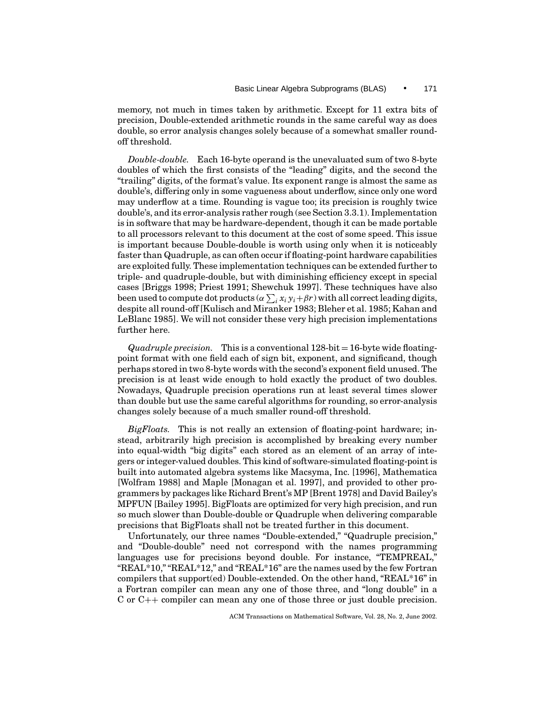memory, not much in times taken by arithmetic. Except for 11 extra bits of precision, Double-extended arithmetic rounds in the same careful way as does double, so error analysis changes solely because of a somewhat smaller roundoff threshold.

*Double-double.* Each 16-byte operand is the unevaluated sum of two 8-byte doubles of which the first consists of the "leading" digits, and the second the "trailing" digits, of the format's value. Its exponent range is almost the same as double's, differing only in some vagueness about underflow, since only one word may underflow at a time. Rounding is vague too; its precision is roughly twice double's, and its error-analysis rather rough (see Section 3.3.1). Implementation is in software that may be hardware-dependent, though it can be made portable to all processors relevant to this document at the cost of some speed. This issue is important because Double-double is worth using only when it is noticeably faster than Quadruple, as can often occur if floating-point hardware capabilities are exploited fully. These implementation techniques can be extended further to triple- and quadruple-double, but with diminishing efficiency except in special cases [Briggs 1998; Priest 1991; Shewchuk 1997]. These techniques have also been used to compute dot products ( $\alpha \sum_i x_i y_i + \beta r$  ) with all correct leading digits, despite all round-off [Kulisch and Miranker 1983; Bleher et al. 1985; Kahan and LeBlanc 1985]. We will not consider these very high precision implementations further here.

*Quadruple precision.* This is a conventional 128-bit = 16-byte wide floatingpoint format with one field each of sign bit, exponent, and significand, though perhaps stored in two 8-byte words with the second's exponent field unused. The precision is at least wide enough to hold exactly the product of two doubles. Nowadays, Quadruple precision operations run at least several times slower than double but use the same careful algorithms for rounding, so error-analysis changes solely because of a much smaller round-off threshold.

*BigFloats.* This is not really an extension of floating-point hardware; instead, arbitrarily high precision is accomplished by breaking every number into equal-width "big digits" each stored as an element of an array of integers or integer-valued doubles. This kind of software-simulated floating-point is built into automated algebra systems like Macsyma, Inc. [1996], Mathematica [Wolfram 1988] and Maple [Monagan et al. 1997], and provided to other programmers by packages like Richard Brent's MP [Brent 1978] and David Bailey's MPFUN [Bailey 1995]. BigFloats are optimized for very high precision, and run so much slower than Double-double or Quadruple when delivering comparable precisions that BigFloats shall not be treated further in this document.

Unfortunately, our three names "Double-extended," "Quadruple precision," and "Double-double" need not correspond with the names programming languages use for precisions beyond double. For instance, "TEMPREAL," "REAL\*10," "REAL\*12," and "REAL\*16" are the names used by the few Fortran compilers that support(ed) Double-extended. On the other hand, "REAL\*16" in a Fortran compiler can mean any one of those three, and "long double" in a C or  $C_{++}$  compiler can mean any one of those three or just double precision.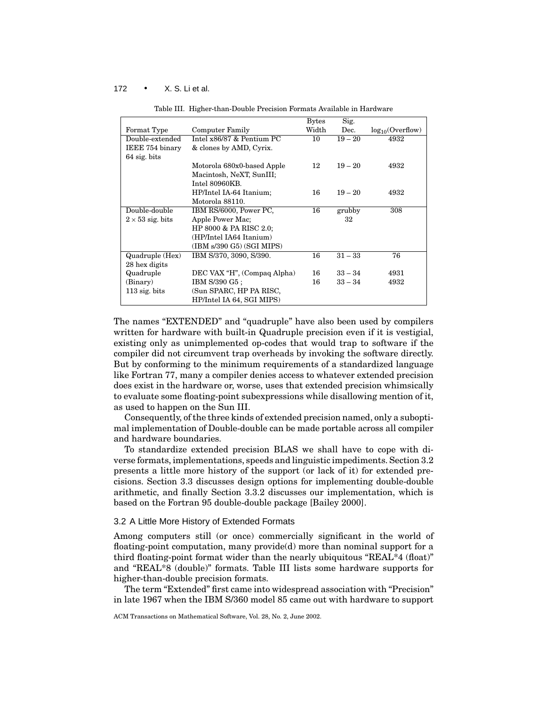|                         |                             | <b>Bytes</b> | Sig.      |                      |
|-------------------------|-----------------------------|--------------|-----------|----------------------|
| Format Type             | Computer Family             | Width        | Dec.      | $log_{10}(Overflow)$ |
| Double-extended         | Intel x86/87 & Pentium PC   | 10           | $19 - 20$ | 4932                 |
| IEEE 754 binary         | & clones by AMD, Cyrix.     |              |           |                      |
| $64$ sig. bits          |                             |              |           |                      |
|                         | Motorola 680x0-based Apple  | 12           | $19 - 20$ | 4932                 |
|                         | Macintosh, NeXT, SunIII;    |              |           |                      |
|                         | Intel 80960KB.              |              |           |                      |
|                         | HP/Intel IA-64 Itanium;     | 16           | $19 - 20$ | 4932                 |
|                         | Motorola 88110.             |              |           |                      |
| Double-double           | IBM RS/6000, Power PC,      | 16           | grubby    | 308                  |
| $2 \times 53$ sig. bits | Apple Power Mac;            |              | 32        |                      |
|                         | HP 8000 & PA RISC 2.0;      |              |           |                      |
|                         | (HP/Intel IA64 Itanium)     |              |           |                      |
|                         | (IBM s/390 G5) (SGI MIPS)   |              |           |                      |
| Quadruple (Hex)         | IBM S/370, 3090, S/390.     | 16           | $31 - 33$ | 76                   |
| 28 hex digits           |                             |              |           |                      |
| Quadruple               | DEC VAX "H", (Compaq Alpha) | 16           | $33 - 34$ | 4931                 |
| (Binary)                | IBM S/390 G5 :              | 16           | $33 - 34$ | 4932                 |
| $113$ sig. bits         | (Sun SPARC, HP PA RISC,     |              |           |                      |
|                         | HP/Intel IA 64, SGI MIPS)   |              |           |                      |

Table III. Higher-than-Double Precision Formats Available in Hardware

The names "EXTENDED" and "quadruple" have also been used by compilers written for hardware with built-in Quadruple precision even if it is vestigial, existing only as unimplemented op-codes that would trap to software if the compiler did not circumvent trap overheads by invoking the software directly. But by conforming to the minimum requirements of a standardized language like Fortran 77, many a compiler denies access to whatever extended precision does exist in the hardware or, worse, uses that extended precision whimsically to evaluate some floating-point subexpressions while disallowing mention of it, as used to happen on the Sun III.

Consequently, of the three kinds of extended precision named, only a suboptimal implementation of Double-double can be made portable across all compiler and hardware boundaries.

To standardize extended precision BLAS we shall have to cope with diverse formats, implementations, speeds and linguistic impediments. Section 3.2 presents a little more history of the support (or lack of it) for extended precisions. Section 3.3 discusses design options for implementing double-double arithmetic, and finally Section 3.3.2 discusses our implementation, which is based on the Fortran 95 double-double package [Bailey 2000].

#### 3.2 A Little More History of Extended Formats

Among computers still (or once) commercially significant in the world of floating-point computation, many provide(d) more than nominal support for a third floating-point format wider than the nearly ubiquitous "REAL\*4 (float)" and "REAL\*8 (double)" formats. Table III lists some hardware supports for higher-than-double precision formats.

The term "Extended" first came into widespread association with "Precision" in late 1967 when the IBM S/360 model 85 came out with hardware to support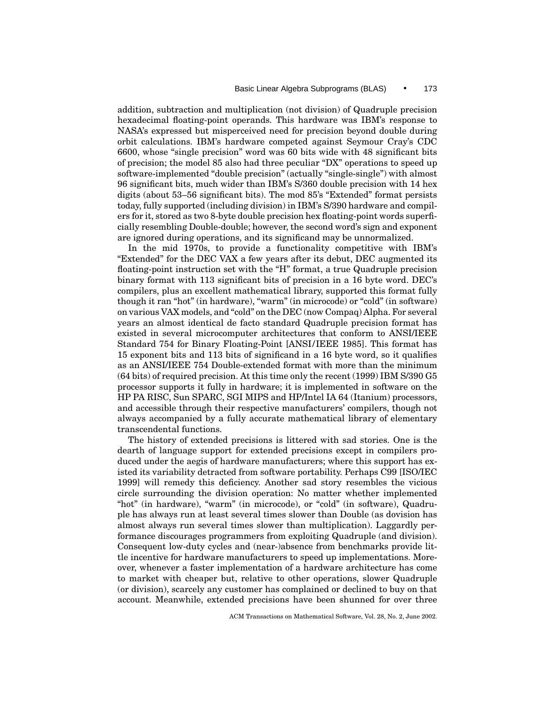addition, subtraction and multiplication (not division) of Quadruple precision hexadecimal floating-point operands. This hardware was IBM's response to NASA's expressed but misperceived need for precision beyond double during orbit calculations. IBM's hardware competed against Seymour Cray's CDC 6600, whose "single precision" word was 60 bits wide with 48 significant bits of precision; the model 85 also had three peculiar "DX" operations to speed up software-implemented "double precision" (actually "single-single") with almost 96 significant bits, much wider than IBM's S/360 double precision with 14 hex digits (about 53–56 significant bits). The mod 85's "Extended" format persists today, fully supported (including division) in IBM's S/390 hardware and compilers for it, stored as two 8-byte double precision hex floating-point words superficially resembling Double-double; however, the second word's sign and exponent are ignored during operations, and its significand may be unnormalized.

In the mid 1970s, to provide a functionality competitive with IBM's "Extended" for the DEC VAX a few years after its debut, DEC augmented its floating-point instruction set with the "H" format, a true Quadruple precision binary format with 113 significant bits of precision in a 16 byte word. DEC's compilers, plus an excellent mathematical library, supported this format fully though it ran "hot" (in hardware), "warm" (in microcode) or "cold" (in software) on various VAX models, and "cold" on the DEC (now Compaq) Alpha. For several years an almost identical de facto standard Quadruple precision format has existed in several microcomputer architectures that conform to ANSI/IEEE Standard 754 for Binary Floating-Point [ANSI/IEEE 1985]. This format has 15 exponent bits and 113 bits of significand in a 16 byte word, so it qualifies as an ANSI/IEEE 754 Double-extended format with more than the minimum (64 bits) of required precision. At this time only the recent (1999) IBM S/390 G5 processor supports it fully in hardware; it is implemented in software on the HP PA RISC, Sun SPARC, SGI MIPS and HP/Intel IA 64 (Itanium) processors, and accessible through their respective manufacturers' compilers, though not always accompanied by a fully accurate mathematical library of elementary transcendental functions.

The history of extended precisions is littered with sad stories. One is the dearth of language support for extended precisions except in compilers produced under the aegis of hardware manufacturers; where this support has existed its variability detracted from software portability. Perhaps C99 [ISO/IEC 1999] will remedy this deficiency. Another sad story resembles the vicious circle surrounding the division operation: No matter whether implemented "hot" (in hardware), "warm" (in microcode), or "cold" (in software), Quadruple has always run at least several times slower than Double (as dovision has almost always run several times slower than multiplication). Laggardly performance discourages programmers from exploiting Quadruple (and division). Consequent low-duty cycles and (near-)absence from benchmarks provide little incentive for hardware manufacturers to speed up implementations. Moreover, whenever a faster implementation of a hardware architecture has come to market with cheaper but, relative to other operations, slower Quadruple (or division), scarcely any customer has complained or declined to buy on that account. Meanwhile, extended precisions have been shunned for over three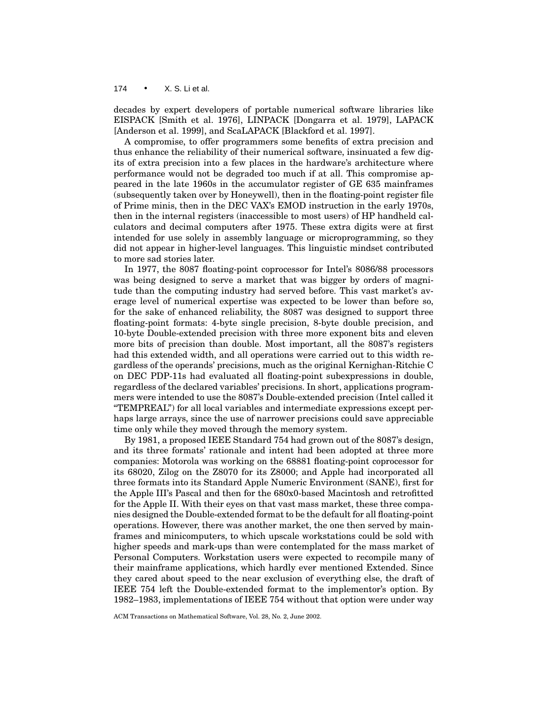decades by expert developers of portable numerical software libraries like EISPACK [Smith et al. 1976], LINPACK [Dongarra et al. 1979], LAPACK [Anderson et al. 1999], and ScaLAPACK [Blackford et al. 1997].

A compromise, to offer programmers some benefits of extra precision and thus enhance the reliability of their numerical software, insinuated a few digits of extra precision into a few places in the hardware's architecture where performance would not be degraded too much if at all. This compromise appeared in the late 1960s in the accumulator register of GE 635 mainframes (subsequently taken over by Honeywell), then in the floating-point register file of Prime minis, then in the DEC VAX's EMOD instruction in the early 1970s, then in the internal registers (inaccessible to most users) of HP handheld calculators and decimal computers after 1975. These extra digits were at first intended for use solely in assembly language or microprogramming, so they did not appear in higher-level languages. This linguistic mindset contributed to more sad stories later.

In 1977, the 8087 floating-point coprocessor for Intel's 8086/88 processors was being designed to serve a market that was bigger by orders of magnitude than the computing industry had served before. This vast market's average level of numerical expertise was expected to be lower than before so, for the sake of enhanced reliability, the 8087 was designed to support three floating-point formats: 4-byte single precision, 8-byte double precision, and 10-byte Double-extended precision with three more exponent bits and eleven more bits of precision than double. Most important, all the 8087's registers had this extended width, and all operations were carried out to this width regardless of the operands' precisions, much as the original Kernighan-Ritchie C on DEC PDP-11s had evaluated all floating-point subexpressions in double, regardless of the declared variables' precisions. In short, applications programmers were intended to use the 8087's Double-extended precision (Intel called it "TEMPREAL") for all local variables and intermediate expressions except perhaps large arrays, since the use of narrower precisions could save appreciable time only while they moved through the memory system.

By 1981, a proposed IEEE Standard 754 had grown out of the 8087's design, and its three formats' rationale and intent had been adopted at three more companies: Motorola was working on the 68881 floating-point coprocessor for its 68020, Zilog on the Z8070 for its Z8000; and Apple had incorporated all three formats into its Standard Apple Numeric Environment (SANE), first for the Apple III's Pascal and then for the 680x0-based Macintosh and retrofitted for the Apple II. With their eyes on that vast mass market, these three companies designed the Double-extended format to be the default for all floating-point operations. However, there was another market, the one then served by mainframes and minicomputers, to which upscale workstations could be sold with higher speeds and mark-ups than were contemplated for the mass market of Personal Computers. Workstation users were expected to recompile many of their mainframe applications, which hardly ever mentioned Extended. Since they cared about speed to the near exclusion of everything else, the draft of IEEE 754 left the Double-extended format to the implementor's option. By 1982–1983, implementations of IEEE 754 without that option were under way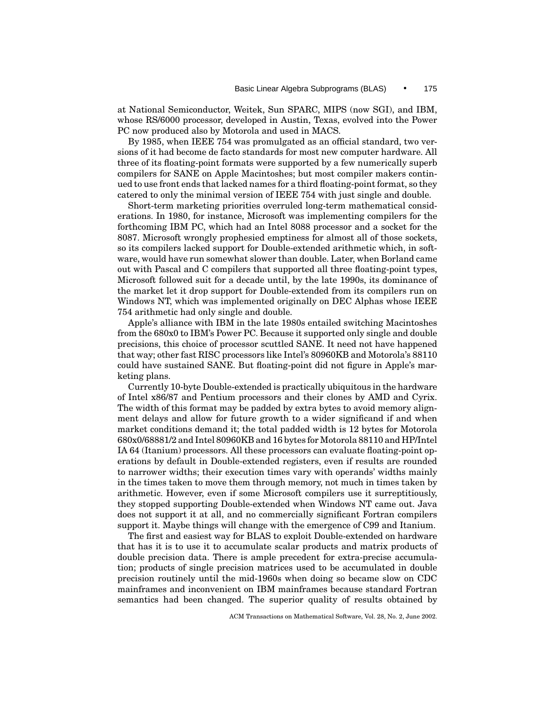at National Semiconductor, Weitek, Sun SPARC, MIPS (now SGI), and IBM, whose RS/6000 processor, developed in Austin, Texas, evolved into the Power PC now produced also by Motorola and used in MACS.

By 1985, when IEEE 754 was promulgated as an official standard, two versions of it had become de facto standards for most new computer hardware. All three of its floating-point formats were supported by a few numerically superb compilers for SANE on Apple Macintoshes; but most compiler makers continued to use front ends that lacked names for a third floating-point format, so they catered to only the minimal version of IEEE 754 with just single and double.

Short-term marketing priorities overruled long-term mathematical considerations. In 1980, for instance, Microsoft was implementing compilers for the forthcoming IBM PC, which had an Intel 8088 processor and a socket for the 8087. Microsoft wrongly prophesied emptiness for almost all of those sockets, so its compilers lacked support for Double-extended arithmetic which, in software, would have run somewhat slower than double. Later, when Borland came out with Pascal and C compilers that supported all three floating-point types, Microsoft followed suit for a decade until, by the late 1990s, its dominance of the market let it drop support for Double-extended from its compilers run on Windows NT, which was implemented originally on DEC Alphas whose IEEE 754 arithmetic had only single and double.

Apple's alliance with IBM in the late 1980s entailed switching Macintoshes from the 680x0 to IBM's Power PC. Because it supported only single and double precisions, this choice of processor scuttled SANE. It need not have happened that way; other fast RISC processors like Intel's 80960KB and Motorola's 88110 could have sustained SANE. But floating-point did not figure in Apple's marketing plans.

Currently 10-byte Double-extended is practically ubiquitous in the hardware of Intel x86/87 and Pentium processors and their clones by AMD and Cyrix. The width of this format may be padded by extra bytes to avoid memory alignment delays and allow for future growth to a wider significand if and when market conditions demand it; the total padded width is 12 bytes for Motorola 680x0/68881/2 and Intel 80960KB and 16 bytes for Motorola 88110 and HP/Intel IA 64 (Itanium) processors. All these processors can evaluate floating-point operations by default in Double-extended registers, even if results are rounded to narrower widths; their execution times vary with operands' widths mainly in the times taken to move them through memory, not much in times taken by arithmetic. However, even if some Microsoft compilers use it surreptitiously, they stopped supporting Double-extended when Windows NT came out. Java does not support it at all, and no commercially significant Fortran compilers support it. Maybe things will change with the emergence of C99 and Itanium.

The first and easiest way for BLAS to exploit Double-extended on hardware that has it is to use it to accumulate scalar products and matrix products of double precision data. There is ample precedent for extra-precise accumulation; products of single precision matrices used to be accumulated in double precision routinely until the mid-1960s when doing so became slow on CDC mainframes and inconvenient on IBM mainframes because standard Fortran semantics had been changed. The superior quality of results obtained by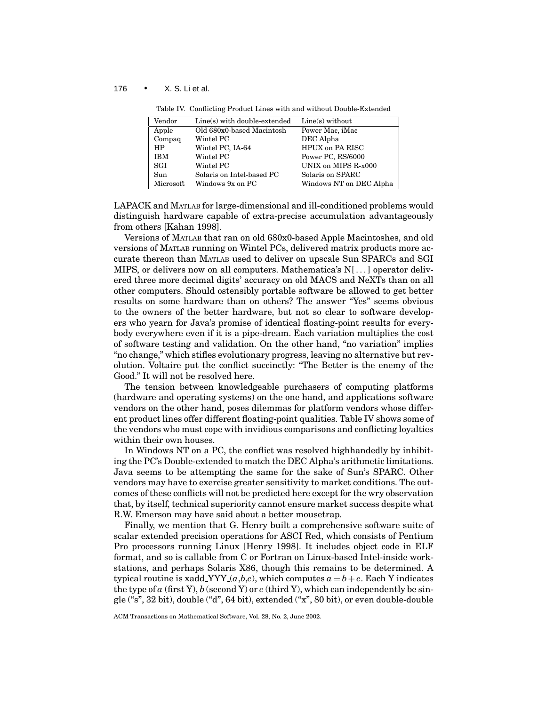| Vendor     | Line(s) with double-extended | $Line(s)$ without       |
|------------|------------------------------|-------------------------|
| Apple      | Old 680x0-based Macintosh    | Power Mac, iMac         |
| Compaq     | Wintel PC                    | DEC Alpha               |
| <b>HP</b>  | Wintel PC, IA-64             | <b>HPUX</b> on PA RISC  |
| <b>IBM</b> | Wintel PC                    | Power PC, RS/6000       |
| SGI        | Wintel PC                    | UNIX on MIPS R-x000     |
| Sun        | Solaris on Intel-based PC    | Solaris on SPARC        |
| Microsoft  | Windows 9x on PC             | Windows NT on DEC Alpha |

Table IV. Conflicting Product Lines with and without Double-Extended

LAPACK and MATLAB for large-dimensional and ill-conditioned problems would distinguish hardware capable of extra-precise accumulation advantageously from others [Kahan 1998].

Versions of MATLAB that ran on old 680x0-based Apple Macintoshes, and old versions of MATLAB running on Wintel PCs, delivered matrix products more accurate thereon than MATLAB used to deliver on upscale Sun SPARCs and SGI MIPS, or delivers now on all computers. Mathematica's N[ ...] operator delivered three more decimal digits' accuracy on old MACS and NeXTs than on all other computers. Should ostensibly portable software be allowed to get better results on some hardware than on others? The answer "Yes" seems obvious to the owners of the better hardware, but not so clear to software developers who yearn for Java's promise of identical floating-point results for everybody everywhere even if it is a pipe-dream. Each variation multiplies the cost of software testing and validation. On the other hand, "no variation" implies "no change," which stifles evolutionary progress, leaving no alternative but revolution. Voltaire put the conflict succinctly: "The Better is the enemy of the Good." It will not be resolved here.

The tension between knowledgeable purchasers of computing platforms (hardware and operating systems) on the one hand, and applications software vendors on the other hand, poses dilemmas for platform vendors whose different product lines offer different floating-point qualities. Table IV shows some of the vendors who must cope with invidious comparisons and conflicting loyalties within their own houses.

In Windows NT on a PC, the conflict was resolved highhandedly by inhibiting the PC's Double-extended to match the DEC Alpha's arithmetic limitations. Java seems to be attempting the same for the sake of Sun's SPARC. Other vendors may have to exercise greater sensitivity to market conditions. The outcomes of these conflicts will not be predicted here except for the wry observation that, by itself, technical superiority cannot ensure market success despite what R.W. Emerson may have said about a better mousetrap.

Finally, we mention that G. Henry built a comprehensive software suite of scalar extended precision operations for ASCI Red, which consists of Pentium Pro processors running Linux [Henry 1998]. It includes object code in ELF format, and so is callable from C or Fortran on Linux-based Intel-inside workstations, and perhaps Solaris X86, though this remains to be determined. A typical routine is xadd YYY  $(a, b, c)$ , which computes  $a = b + c$ . Each Y indicates the type of *a* (first Y), *b* (second Y) or *c* (third Y), which can independently be single ("s", 32 bit), double ("d", 64 bit), extended ("x", 80 bit), or even double-double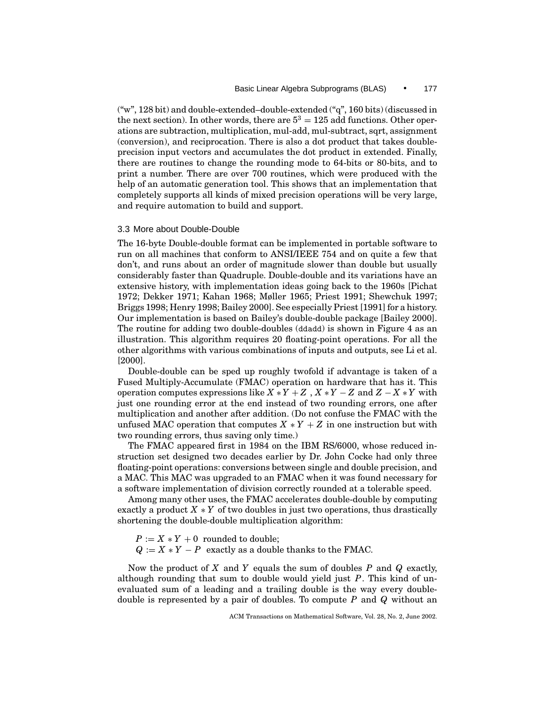("w", 128 bit) and double-extended–double-extended ("q", 160 bits) (discussed in the next section). In other words, there are  $5^3 = 125$  add functions. Other operations are subtraction, multiplication, mul-add, mul-subtract, sqrt, assignment (conversion), and reciprocation. There is also a dot product that takes doubleprecision input vectors and accumulates the dot product in extended. Finally, there are routines to change the rounding mode to 64-bits or 80-bits, and to print a number. There are over 700 routines, which were produced with the help of an automatic generation tool. This shows that an implementation that completely supports all kinds of mixed precision operations will be very large, and require automation to build and support.

#### 3.3 More about Double-Double

The 16-byte Double-double format can be implemented in portable software to run on all machines that conform to ANSI/IEEE 754 and on quite a few that don't, and runs about an order of magnitude slower than double but usually considerably faster than Quadruple. Double-double and its variations have an extensive history, with implementation ideas going back to the 1960s [Pichat 1972; Dekker 1971; Kahan 1968; Møller 1965; Priest 1991; Shewchuk 1997; Briggs 1998; Henry 1998; Bailey 2000]. See especially Priest [1991] for a history. Our implementation is based on Bailey's double-double package [Bailey 2000]. The routine for adding two double-doubles (ddadd) is shown in Figure 4 as an illustration. This algorithm requires 20 floating-point operations. For all the other algorithms with various combinations of inputs and outputs, see Li et al. [2000].

Double-double can be sped up roughly twofold if advantage is taken of a Fused Multiply-Accumulate (FMAC) operation on hardware that has it. This operation computes expressions like  $X * Y + Z$ ,  $X * Y - Z$  and  $Z - X * Y$  with just one rounding error at the end instead of two rounding errors, one after multiplication and another after addition. (Do not confuse the FMAC with the unfused MAC operation that computes  $X * Y + Z$  in one instruction but with two rounding errors, thus saving only time.)

The FMAC appeared first in 1984 on the IBM RS/6000, whose reduced instruction set designed two decades earlier by Dr. John Cocke had only three floating-point operations: conversions between single and double precision, and a MAC. This MAC was upgraded to an FMAC when it was found necessary for a software implementation of division correctly rounded at a tolerable speed.

Among many other uses, the FMAC accelerates double-double by computing exactly a product  $X * Y$  of two doubles in just two operations, thus drastically shortening the double-double multiplication algorithm:

 $P := X * Y + 0$  rounded to double;  $Q := X * Y - P$  exactly as a double thanks to the FMAC.

Now the product of *X* and *Y* equals the sum of doubles *P* and *Q* exactly, although rounding that sum to double would yield just *P*. This kind of unevaluated sum of a leading and a trailing double is the way every doubledouble is represented by a pair of doubles. To compute *P* and *Q* without an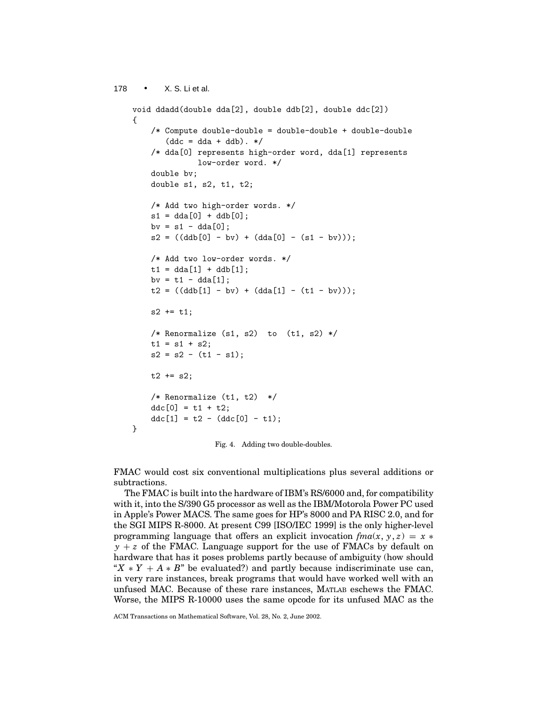```
178 • X. S. Li et al.
    void ddadd(double dda[2], double ddb[2], double ddc[2])
    {
        /* Compute double-double = double-double + double-double
           (ddc = dda + ddb). */
        /* dda[0] represents high-order word, dda[1] represents
                  low-order word. */
        double bv;
        double s1, s2, t1, t2;
        /* Add two high-order words. */
        s1 = dda[0] + ddb[0];bv = s1 - dda[0];s2 = ((ddb[0] - bv) + (dda[0] - (s1 - bv)));
        /* Add two low-order words. */
       t1 = dda[1] + ddb[1];bv = t1 - dda[1];t2 = ((ddb[1] - bv) + (dda[1] - (t1 - bv)));
        s2 == t1;/* Renormalize (s1, s2) to (t1, s2) */
        t1 = s1 + s2;s2 = s2 - (t1 - s1);t2 == s2;/* Renormalize (t1, t2) */
        ddc[0] = t1 + t2;ddc[1] = t2 - (ddc[0] - t1);}
```
Fig. 4. Adding two double-doubles.

FMAC would cost six conventional multiplications plus several additions or subtractions.

The FMAC is built into the hardware of IBM's RS/6000 and, for compatibility with it, into the S/390 G5 processor as well as the IBM/Motorola Power PC used in Apple's Power MACS. The same goes for HP's 8000 and PA RISC 2.0, and for the SGI MIPS R-8000. At present C99 [ISO/IEC 1999] is the only higher-level programming language that offers an explicit invocation  $\text{fma}(x, y, z) = x$  $y + z$  of the FMAC. Language support for the use of FMACs by default on hardware that has it poses problems partly because of ambiguity (how should " $X * Y + A * B$ " be evaluated?) and partly because indiscriminate use can, in very rare instances, break programs that would have worked well with an unfused MAC. Because of these rare instances, MATLAB eschews the FMAC. Worse, the MIPS R-10000 uses the same opcode for its unfused MAC as the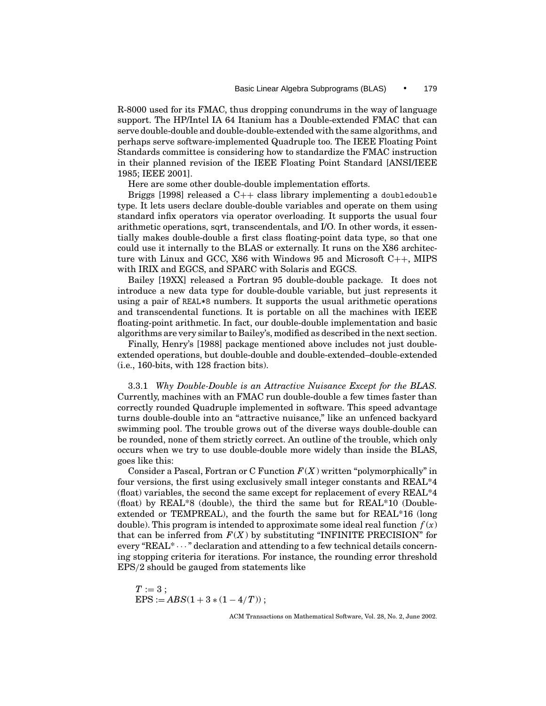R-8000 used for its FMAC, thus dropping conundrums in the way of language support. The HP/Intel IA 64 Itanium has a Double-extended FMAC that can serve double-double and double-double-extended with the same algorithms, and perhaps serve software-implemented Quadruple too. The IEEE Floating Point Standards committee is considering how to standardize the FMAC instruction in their planned revision of the IEEE Floating Point Standard [ANSI/IEEE 1985; IEEE 2001].

Here are some other double-double implementation efforts.

Briggs [1998] released a  $C_{++}$  class library implementing a doubledouble type. It lets users declare double-double variables and operate on them using standard infix operators via operator overloading. It supports the usual four arithmetic operations, sqrt, transcendentals, and I/O. In other words, it essentially makes double-double a first class floating-point data type, so that one could use it internally to the BLAS or externally. It runs on the X86 architecture with Linux and GCC, X86 with Windows 95 and Microsoft C++, MIPS with IRIX and EGCS, and SPARC with Solaris and EGCS.

Bailey [19XX] released a Fortran 95 double-double package. It does not introduce a new data type for double-double variable, but just represents it using a pair of REAL\*8 numbers. It supports the usual arithmetic operations and transcendental functions. It is portable on all the machines with IEEE floating-point arithmetic. In fact, our double-double implementation and basic algorithms are very similar to Bailey's, modified as described in the next section.

Finally, Henry's [1988] package mentioned above includes not just doubleextended operations, but double-double and double-extended–double-extended (i.e., 160-bits, with 128 fraction bits).

3.3.1 *Why Double-Double is an Attractive Nuisance Except for the BLAS.* Currently, machines with an FMAC run double-double a few times faster than correctly rounded Quadruple implemented in software. This speed advantage turns double-double into an "attractive nuisance," like an unfenced backyard swimming pool. The trouble grows out of the diverse ways double-double can be rounded, none of them strictly correct. An outline of the trouble, which only occurs when we try to use double-double more widely than inside the BLAS, goes like this:

Consider a Pascal, Fortran or C Function  $F(X)$  written "polymorphically" in four versions, the first using exclusively small integer constants and REAL\*4 (float) variables, the second the same except for replacement of every REAL\*4 (float) by REAL\*8 (double), the third the same but for REAL\*10 (Doubleextended or TEMPREAL), and the fourth the same but for REAL\*16 (long double). This program is intended to approximate some ideal real function  $f(x)$ that can be inferred from  $F(X)$  by substituting "INFINITE PRECISION" for every "REAL $^* \cdots$ " declaration and attending to a few technical details concerning stopping criteria for iterations. For instance, the rounding error threshold EPS/2 should be gauged from statements like

 $T := 3;$  $EPS := ABS(1 + 3 * (1 - 4/T))$ ;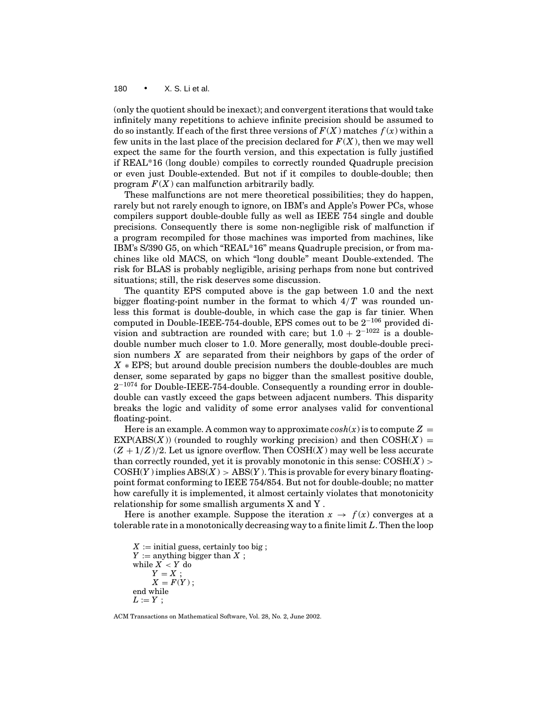(only the quotient should be inexact); and convergent iterations that would take infinitely many repetitions to achieve infinite precision should be assumed to do so instantly. If each of the first three versions of  $F(X)$  matches  $f(x)$  within a few units in the last place of the precision declared for  $F(X)$ , then we may well expect the same for the fourth version, and this expectation is fully justified if REAL\*16 (long double) compiles to correctly rounded Quadruple precision or even just Double-extended. But not if it compiles to double-double; then program  $F(X)$  can malfunction arbitrarily badly.

These malfunctions are not mere theoretical possibilities; they do happen, rarely but not rarely enough to ignore, on IBM's and Apple's Power PCs, whose compilers support double-double fully as well as IEEE 754 single and double precisions. Consequently there is some non-negligible risk of malfunction if a program recompiled for those machines was imported from machines, like IBM's S/390 G5, on which "REAL\*16" means Quadruple precision, or from machines like old MACS, on which "long double" meant Double-extended. The risk for BLAS is probably negligible, arising perhaps from none but contrived situations; still, the risk deserves some discussion.

The quantity EPS computed above is the gap between 1.0 and the next bigger floating-point number in the format to which 4/*T* was rounded unless this format is double-double, in which case the gap is far tinier. When computed in Double-IEEE-754-double, EPS comes out to be 2<sup>−</sup><sup>106</sup> provided division and subtraction are rounded with care; but  $1.0 + 2^{-1022}$  is a doubledouble number much closer to 1.0. More generally, most double-double precision numbers *X* are separated from their neighbors by gaps of the order of *X* ∗ EPS; but around double precision numbers the double-doubles are much denser, some separated by gaps no bigger than the smallest positive double,  $2^{-1074}$  for Double-IEEE-754-double. Consequently a rounding error in doubledouble can vastly exceed the gaps between adjacent numbers. This disparity breaks the logic and validity of some error analyses valid for conventional floating-point.

Here is an example. A common way to approximate  $cosh(x)$  is to compute  $Z =$  $EXP(ABS(X))$  (rounded to roughly working precision) and then  $COSH(X)$  =  $(Z + 1/Z)/2$ . Let us ignore overflow. Then  $\text{COSH}(X)$  may well be less accurate than correctly rounded, yet it is provably monotonic in this sense:  $\text{COSH}(X)$  $\text{COSH}(Y)$  implies  $\text{ABS}(X) > \text{ABS}(Y)$ . This is provable for every binary floatingpoint format conforming to IEEE 754/854. But not for double-double; no matter how carefully it is implemented, it almost certainly violates that monotonicity relationship for some smallish arguments X and Y .

Here is another example. Suppose the iteration  $x \to f(x)$  converges at a tolerable rate in a monotonically decreasing way to a finite limit *L*. Then the loop

 $X :=$  initial guess, certainly too big;  $Y :=$  anything bigger than  $X$ ; while  $X < Y$  do  $Y = X$  $X = F(Y)$  ; end while  $L := Y$ ;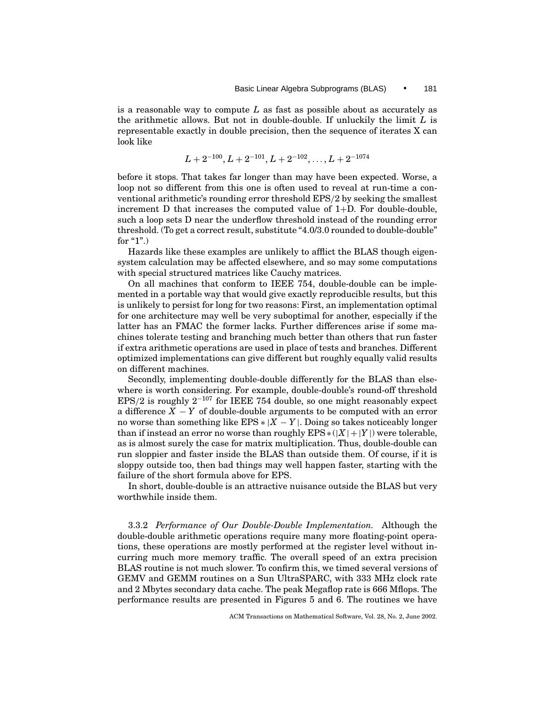is a reasonable way to compute *L* as fast as possible about as accurately as the arithmetic allows. But not in double-double. If unluckily the limit *L* is representable exactly in double precision, then the sequence of iterates X can look like

$$
L+2^{-100}, L+2^{-101}, L+2^{-102}, \ldots, L+2^{-1074}
$$

before it stops. That takes far longer than may have been expected. Worse, a loop not so different from this one is often used to reveal at run-time a conventional arithmetic's rounding error threshold EPS/2 by seeking the smallest increment  $D$  that increases the computed value of  $1+D$ . For double-double, such a loop sets D near the underflow threshold instead of the rounding error threshold. (To get a correct result, substitute "4.0/3.0 rounded to double-double" for " $1$ ".)

Hazards like these examples are unlikely to afflict the BLAS though eigensystem calculation may be affected elsewhere, and so may some computations with special structured matrices like Cauchy matrices.

On all machines that conform to IEEE 754, double-double can be implemented in a portable way that would give exactly reproducible results, but this is unlikely to persist for long for two reasons: First, an implementation optimal for one architecture may well be very suboptimal for another, especially if the latter has an FMAC the former lacks. Further differences arise if some machines tolerate testing and branching much better than others that run faster if extra arithmetic operations are used in place of tests and branches. Different optimized implementations can give different but roughly equally valid results on different machines.

Secondly, implementing double-double differently for the BLAS than elsewhere is worth considering. For example, double-double's round-off threshold EPS/2 is roughly  $2^{-107}$  for IEEE 754 double, so one might reasonably expect a difference *X* − *Y* of double-double arguments to be computed with an error no worse than something like  $EPS * |X - Y|$ . Doing so takes noticeably longer than if instead an error no worse than roughly  $EPS * (|X|+|Y|)$  were tolerable, as is almost surely the case for matrix multiplication. Thus, double-double can run sloppier and faster inside the BLAS than outside them. Of course, if it is sloppy outside too, then bad things may well happen faster, starting with the failure of the short formula above for EPS.

In short, double-double is an attractive nuisance outside the BLAS but very worthwhile inside them.

3.3.2 *Performance of Our Double-Double Implementation.* Although the double-double arithmetic operations require many more floating-point operations, these operations are mostly performed at the register level without incurring much more memory traffic. The overall speed of an extra precision BLAS routine is not much slower. To confirm this, we timed several versions of GEMV and GEMM routines on a Sun UltraSPARC, with 333 MHz clock rate and 2 Mbytes secondary data cache. The peak Megaflop rate is 666 Mflops. The performance results are presented in Figures 5 and 6. The routines we have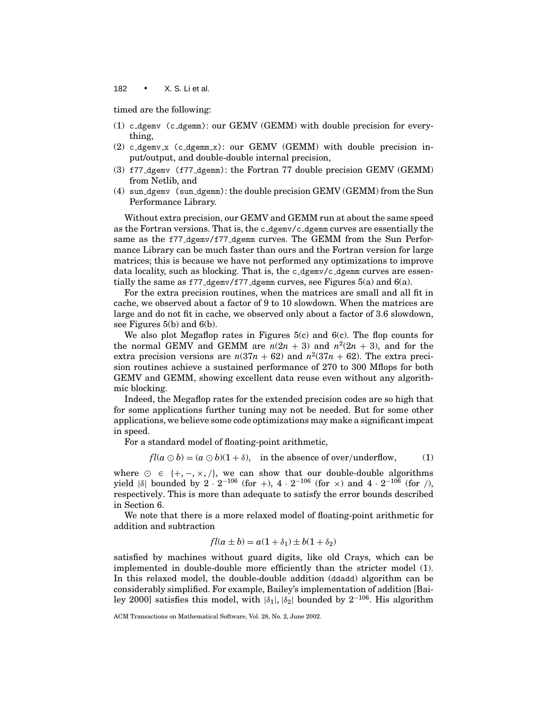timed are the following:

- (1) c dgemv (c dgemm): our GEMV (GEMM) with double precision for everything,
- (2) c dgemv  $x$  (c dgemm  $x$ ): our GEMV (GEMM) with double precision input/output, and double-double internal precision,
- (3) f77 dgemv (f77 dgemm): the Fortran 77 double precision GEMV (GEMM) from Netlib, and
- (4) sun dgemv (sun dgemm): the double precision GEMV (GEMM) from the Sun Performance Library.

Without extra precision, our GEMV and GEMM run at about the same speed as the Fortran versions. That is, the c\_dgemv/c\_dgemm curves are essentially the same as the f77\_dgemv/f77\_dgemm curves. The GEMM from the Sun Performance Library can be much faster than ours and the Fortran version for large matrices; this is because we have not performed any optimizations to improve data locality, such as blocking. That is, the c\_dgemv/c\_dgemm curves are essentially the same as f77 dgemv/f77 dgemm curves, see Figures  $5(a)$  and  $6(a)$ .

For the extra precision routines, when the matrices are small and all fit in cache, we observed about a factor of 9 to 10 slowdown. When the matrices are large and do not fit in cache, we observed only about a factor of 3.6 slowdown, see Figures 5(b) and 6(b).

We also plot Megaflop rates in Figures  $5(c)$  and  $6(c)$ . The flop counts for the normal GEMV and GEMM are  $n(2n + 3)$  and  $n^2(2n + 3)$ , and for the extra precision versions are  $n(37n + 62)$  and  $n^2(37n + 62)$ . The extra precision routines achieve a sustained performance of 270 to 300 Mflops for both GEMV and GEMM, showing excellent data reuse even without any algorithmic blocking.

Indeed, the Megaflop rates for the extended precision codes are so high that for some applications further tuning may not be needed. But for some other applications, we believe some code optimizations may make a significant impcat in speed.

For a standard model of floating-point arithmetic,

 $fl(a \odot b) = (a \odot b)(1 + \delta)$ , in the absence of over/underflow, (1)

where  $\odot \in \{+, -, \times, / \}$ , we can show that our double-double algorithms yield |δ| bounded by  $2 \cdot 2^{-106}$  (for +),  $4 \cdot 2^{-106}$  (for ×) and  $4 \cdot 2^{-106}$  (for /), respectively. This is more than adequate to satisfy the error bounds described in Section 6.

We note that there is a more relaxed model of floating-point arithmetic for addition and subtraction

$$
fl(a \pm b) = a(1 + \delta_1) \pm b(1 + \delta_2)
$$

satisfied by machines without guard digits, like old Crays, which can be implemented in double-double more efficiently than the stricter model (1). In this relaxed model, the double-double addition (ddadd) algorithm can be considerably simplified. For example, Bailey's implementation of addition [Bailey 2000] satisfies this model, with  $|\delta_1|, |\delta_2|$  bounded by  $2^{-106}$ . His algorithm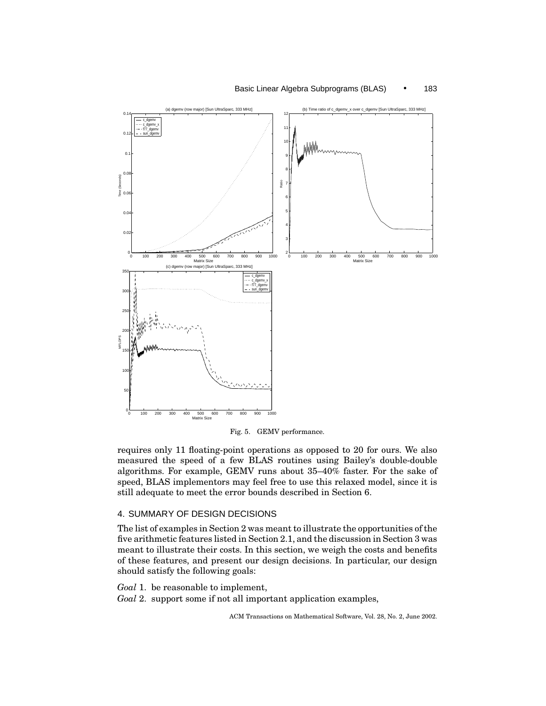

## Basic Linear Algebra Subprograms (BLAS) • 183

Fig. 5. GEMV performance.

requires only 11 floating-point operations as opposed to 20 for ours. We also measured the speed of a few BLAS routines using Bailey's double-double algorithms. For example, GEMV runs about 35–40% faster. For the sake of speed, BLAS implementors may feel free to use this relaxed model, since it is still adequate to meet the error bounds described in Section 6.

# 4. SUMMARY OF DESIGN DECISIONS

The list of examples in Section 2 was meant to illustrate the opportunities of the five arithmetic features listed in Section 2.1, and the discussion in Section 3 was meant to illustrate their costs. In this section, we weigh the costs and benefits of these features, and present our design decisions. In particular, our design should satisfy the following goals:

*Goal* 1. be reasonable to implement, *Goal* 2. support some if not all important application examples,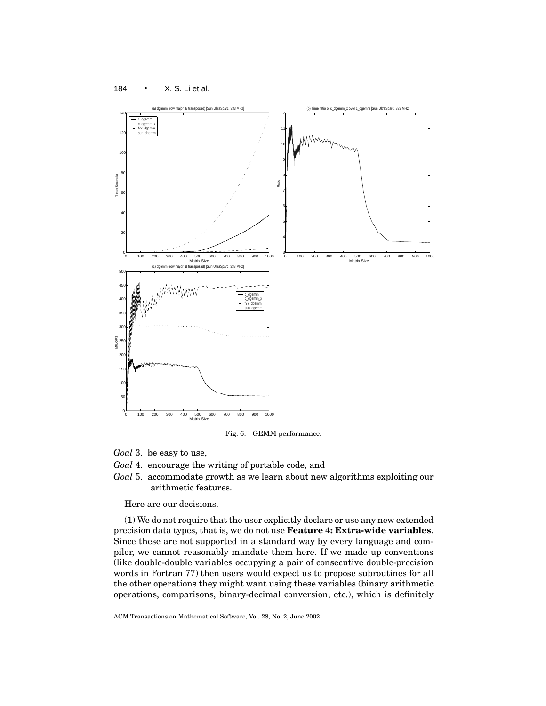

Fig. 6. GEMM performance.

- *Goal* 3. be easy to use,
- *Goal* 4. encourage the writing of portable code, and
- *Goal* 5. accommodate growth as we learn about new algorithms exploiting our arithmetic features.

Here are our decisions.

(1) We do not require that the user explicitly declare or use any new extended precision data types, that is, we do not use **Feature 4: Extra-wide variables**. Since these are not supported in a standard way by every language and compiler, we cannot reasonably mandate them here. If we made up conventions (like double-double variables occupying a pair of consecutive double-precision words in Fortran 77) then users would expect us to propose subroutines for all the other operations they might want using these variables (binary arithmetic operations, comparisons, binary-decimal conversion, etc.), which is definitely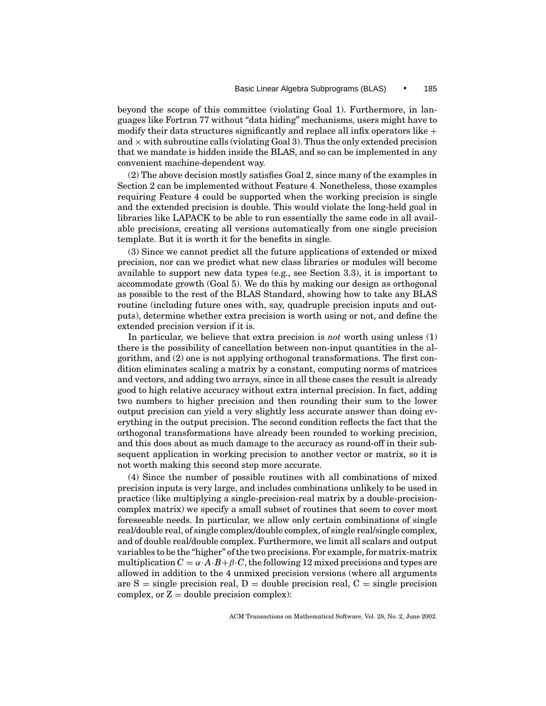beyond the scope of this committee (violating Goal 1). Furthermore, in languages like Fortran 77 without "data hiding" mechanisms, users might have to modify their data structures significantly and replace all infix operators like  $+$ and  $\times$  with subroutine calls (violating Goal 3). Thus the only extended precision that we mandate is hidden inside the BLAS, and so can be implemented in any convenient machine-dependent way.

(2) The above decision mostly satisfies Goal 2, since many of the examples in Section 2 can be implemented without Feature 4. Nonetheless, those examples requiring Feature 4 could be supported when the working precision is single and the extended precision is double. This would violate the long-held goal in libraries like LAPACK to be able to run essentially the same code in all available precisions, creating all versions automatically from one single precision template. But it is worth it for the benefits in single.

(3) Since we cannot predict all the future applications of extended or mixed precision, nor can we predict what new class libraries or modules will become available to support new data types (e.g., see Section 3.3), it is important to accommodate growth (Goal 5). We do this by making our design as orthogonal as possible to the rest of the BLAS Standard, showing how to take any BLAS routine (including future ones with, say, quadruple precision inputs and outputs), determine whether extra precision is worth using or not, and define the extended precision version if it is.

In particular, we believe that extra precision is *not* worth using unless (1) there is the possibility of cancellation between non-input quantities in the algorithm, and (2) one is not applying orthogonal transformations. The first condition eliminates scaling a matrix by a constant, computing norms of matrices and vectors, and adding two arrays, since in all these cases the result is already good to high relative accuracy without extra internal precision. In fact, adding two numbers to higher precision and then rounding their sum to the lower output precision can yield a very slightly less accurate answer than doing everything in the output precision. The second condition reflects the fact that the orthogonal transformations have already been rounded to working precision, and this does about as much damage to the accuracy as round-off in their subsequent application in working precision to another vector or matrix, so it is not worth making this second step more accurate.

(4) Since the number of possible routines with all combinations of mixed precision inputs is very large, and includes combinations unlikely to be used in practice (like multiplying a single-precision-real matrix by a double-precisioncomplex matrix) we specify a small subset of routines that seem to cover most foreseeable needs. In particular, we allow only certain combinations of single real/double real, of single complex/double complex, of single real/single complex, and of double real/double complex. Furthermore, we limit all scalars and output variables to be the "higher" of the two precisions. For example, for matrix-matrix multiplication  $C = \alpha \cdot A \cdot B + \beta \cdot C$ , the following 12 mixed precisions and types are allowed in addition to the 4 unmixed precision versions (where all arguments are  $S = \text{single precision real}, D = \text{double precision real}, C = \text{single precision}$ complex, or  $Z =$  double precision complex):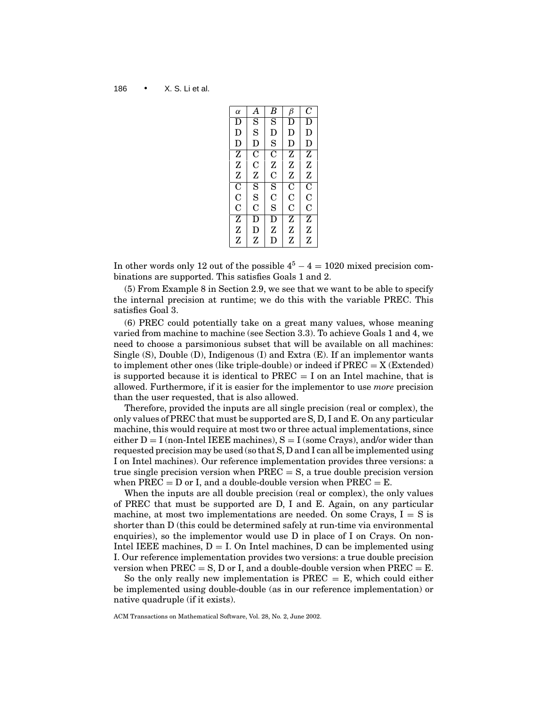| $\alpha$           | А                       | B                       | B              | C                  |
|--------------------|-------------------------|-------------------------|----------------|--------------------|
| D                  | $\overline{\mathrm{s}}$ | $\overline{\mathrm{s}}$ | D              | D                  |
| D                  | S                       | D                       | D              | D                  |
| D                  | D                       | S                       | D              | D                  |
| Z                  | $\rm C$                 | C                       | Z              | Z                  |
| Z                  | $\overline{C}$          | Z                       | Z              | Z                  |
| Z                  | Z                       | $\overline{C}$          | Z              | Z                  |
| $\overline{\rm C}$ | $\overline{\mathrm{s}}$ | $\overline{\mathrm{s}}$ | С              | $\overline{\rm C}$ |
| $\overline{C}$     | S                       | $\overline{C}$          | $\overline{C}$ | C                  |
| $\mathbf C$        | C                       | S                       | $\mathcal C$   | C                  |
| Z                  | D                       | D                       | Z              | Z                  |
| Z                  | D                       | Z                       | Z              | Z                  |
| Z                  | Z                       | D                       | Z              | Z                  |

In other words only 12 out of the possible  $4^5 - 4 = 1020$  mixed precision combinations are supported. This satisfies Goals 1 and 2.

(5) From Example 8 in Section 2.9, we see that we want to be able to specify the internal precision at runtime; we do this with the variable PREC. This satisfies Goal 3.

(6) PREC could potentially take on a great many values, whose meaning varied from machine to machine (see Section 3.3). To achieve Goals 1 and 4, we need to choose a parsimonious subset that will be available on all machines: Single (S), Double (D), Indigenous (I) and Extra (E). If an implementor wants to implement other ones (like triple-double) or indeed if  $PREC = X$  (Extended) is supported because it is identical to  $\text{PREC} = I$  on an Intel machine, that is allowed. Furthermore, if it is easier for the implementor to use *more* precision than the user requested, that is also allowed.

Therefore, provided the inputs are all single precision (real or complex), the only values of PREC that must be supported are S, D, I and E. On any particular machine, this would require at most two or three actual implementations, since either  $D = I$  (non-Intel IEEE machines),  $S = I$  (some Crays), and/or wider than requested precision may be used (so that S, D and I can all be implemented using I on Intel machines). Our reference implementation provides three versions: a true single precision version when  $PREC = S$ , a true double precision version when  $PREC = D$  or I, and a double-double version when  $PREC = E$ .

When the inputs are all double precision (real or complex), the only values of PREC that must be supported are D, I and E. Again, on any particular machine, at most two implementations are needed. On some Crays,  $I = S$  is shorter than D (this could be determined safely at run-time via environmental enquiries), so the implementor would use D in place of I on Crays. On non-Intel IEEE machines,  $D = I$ . On Intel machines, D can be implemented using I. Our reference implementation provides two versions: a true double precision version when  $PREC = S$ , D or I, and a double-double version when  $PREC = E$ .

So the only really new implementation is  $PREC = E$ , which could either be implemented using double-double (as in our reference implementation) or native quadruple (if it exists).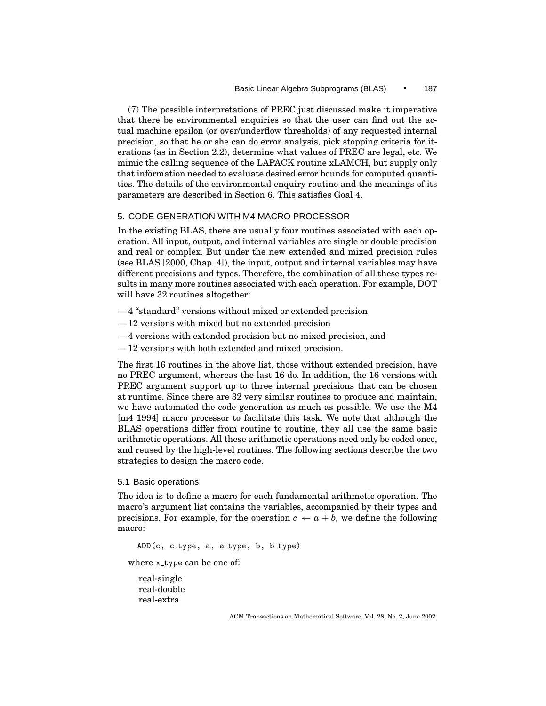(7) The possible interpretations of PREC just discussed make it imperative that there be environmental enquiries so that the user can find out the actual machine epsilon (or over/underflow thresholds) of any requested internal precision, so that he or she can do error analysis, pick stopping criteria for iterations (as in Section 2.2), determine what values of PREC are legal, etc. We mimic the calling sequence of the LAPACK routine xLAMCH, but supply only that information needed to evaluate desired error bounds for computed quantities. The details of the environmental enquiry routine and the meanings of its parameters are described in Section 6. This satisfies Goal 4.

# 5. CODE GENERATION WITH M4 MACRO PROCESSOR

In the existing BLAS, there are usually four routines associated with each operation. All input, output, and internal variables are single or double precision and real or complex. But under the new extended and mixed precision rules (see BLAS [2000, Chap. 4]), the input, output and internal variables may have different precisions and types. Therefore, the combination of all these types results in many more routines associated with each operation. For example, DOT will have 32 routines altogether:

- 4 "standard" versions without mixed or extended precision
- 12 versions with mixed but no extended precision
- 4 versions with extended precision but no mixed precision, and
- 12 versions with both extended and mixed precision.

The first 16 routines in the above list, those without extended precision, have no PREC argument, whereas the last 16 do. In addition, the 16 versions with PREC argument support up to three internal precisions that can be chosen at runtime. Since there are 32 very similar routines to produce and maintain, we have automated the code generation as much as possible. We use the M4 [m4 1994] macro processor to facilitate this task. We note that although the BLAS operations differ from routine to routine, they all use the same basic arithmetic operations. All these arithmetic operations need only be coded once, and reused by the high-level routines. The following sections describe the two strategies to design the macro code.

## 5.1 Basic operations

The idea is to define a macro for each fundamental arithmetic operation. The macro's argument list contains the variables, accompanied by their types and precisions. For example, for the operation  $c \leftarrow a + b$ , we define the following macro:

ADD(c, c type, a, a type, b, b type)

where x type can be one of:

real-single real-double real-extra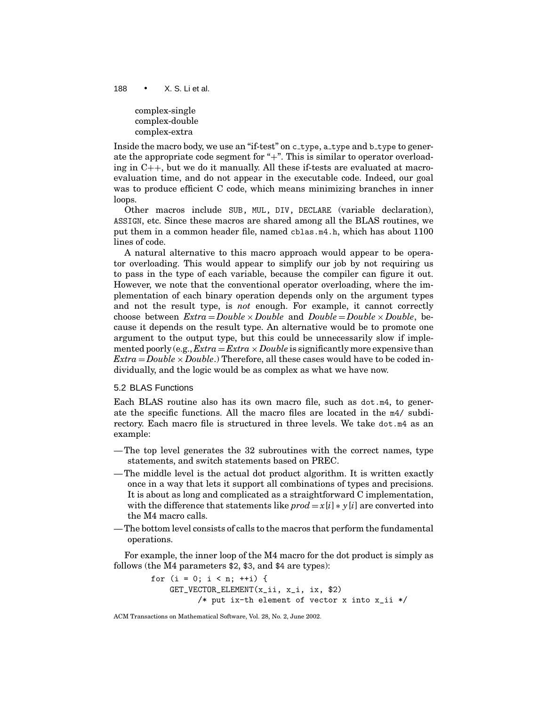complex-single complex-double complex-extra

Inside the macro body, we use an "if-test" on c\_type, a\_type and b\_type to generate the appropriate code segment for  $+$ ". This is similar to operator overloading in C++, but we do it manually. All these if-tests are evaluated at macroevaluation time, and do not appear in the executable code. Indeed, our goal was to produce efficient C code, which means minimizing branches in inner loops.

Other macros include SUB, MUL, DIV, DECLARE (variable declaration), ASSIGN, etc. Since these macros are shared among all the BLAS routines, we put them in a common header file, named cblas.m4.h, which has about 1100 lines of code.

A natural alternative to this macro approach would appear to be operator overloading. This would appear to simplify our job by not requiring us to pass in the type of each variable, because the compiler can figure it out. However, we note that the conventional operator overloading, where the implementation of each binary operation depends only on the argument types and not the result type, is *not* enough. For example, it cannot correctly choose between  $Extra = Double \times Double$  and  $Double = Double \times Double$ , because it depends on the result type. An alternative would be to promote one argument to the output type, but this could be unnecessarily slow if implemented poorly (e.g.,  $Extra = Extra \times Double$  is significantly more expensive than  $Extra = Double \times Double$ .) Therefore, all these cases would have to be coded individually, and the logic would be as complex as what we have now.

## 5.2 BLAS Functions

Each BLAS routine also has its own macro file, such as  $dot$   $m4$ , to generate the specific functions. All the macro files are located in the m4/ subdirectory. Each macro file is structured in three levels. We take dot.m4 as an example:

- The top level generates the 32 subroutines with the correct names, type statements, and switch statements based on PREC.
- The middle level is the actual dot product algorithm. It is written exactly once in a way that lets it support all combinations of types and precisions. It is about as long and complicated as a straightforward C implementation, with the difference that statements like  $prod = x[i] * y[i]$  are converted into the M4 macro calls.
- The bottom level consists of calls to the macros that perform the fundamental operations.

For example, the inner loop of the M4 macro for the dot product is simply as follows (the M4 parameters \$2, \$3, and \$4 are types):

> for  $(i = 0; i < n; ++i)$  { GET\_VECTOR\_ELEMENT(x\_ii, x\_i, ix, \$2) /\* put ix-th element of vector x into x\_ii \*/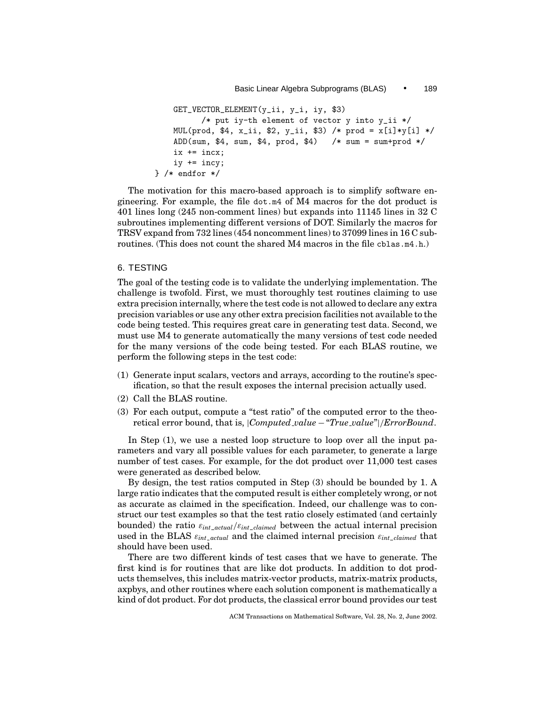```
GET_VECTOR_ELEMENT(y_ii, y_i, iy, $3)
          /* put iy-th element of vector y into y_ii */
   MUL(prod, $4, x_ii, $2, y_ii, $3) /* prod = x[i]*y[i] */
    ADD(sum, 4, sum, 4, prod, 4) /* sum = sum+prod */
    ix += incx;
   iy += incy;
} /* endfor */
```
The motivation for this macro-based approach is to simplify software engineering. For example, the file  $\det \mathbb{M}$  of M4 macros for the dot product is 401 lines long (245 non-comment lines) but expands into 11145 lines in 32 C subroutines implementing different versions of DOT. Similarly the macros for TRSV expand from 732 lines (454 noncomment lines) to 37099 lines in 16 C subroutines. (This does not count the shared M4 macros in the file cblas.m4.h.)

#### 6. TESTING

The goal of the testing code is to validate the underlying implementation. The challenge is twofold. First, we must thoroughly test routines claiming to use extra precision internally, where the test code is not allowed to declare any extra precision variables or use any other extra precision facilities not available to the code being tested. This requires great care in generating test data. Second, we must use M4 to generate automatically the many versions of test code needed for the many versions of the code being tested. For each BLAS routine, we perform the following steps in the test code:

- (1) Generate input scalars, vectors and arrays, according to the routine's specification, so that the result exposes the internal precision actually used.
- (2) Call the BLAS routine.
- (3) For each output, compute a "test ratio" of the computed error to the theoretical error bound, that is, |*Computed value* − "*True value*"|/*ErrorBound*.

In Step (1), we use a nested loop structure to loop over all the input parameters and vary all possible values for each parameter, to generate a large number of test cases. For example, for the dot product over 11,000 test cases were generated as described below.

By design, the test ratios computed in Step (3) should be bounded by 1. A large ratio indicates that the computed result is either completely wrong, or not as accurate as claimed in the specification. Indeed, our challenge was to construct our test examples so that the test ratio closely estimated (and certainly bounded) the ratio  $\varepsilon_{int\_actual}/\varepsilon_{int\_clained}$  between the actual internal precision used in the BLAS  $\varepsilon_{int\_actual}$  and the claimed internal precision  $\varepsilon_{int\_clained}$  that should have been used.

There are two different kinds of test cases that we have to generate. The first kind is for routines that are like dot products. In addition to dot products themselves, this includes matrix-vector products, matrix-matrix products, axpbys, and other routines where each solution component is mathematically a kind of dot product. For dot products, the classical error bound provides our test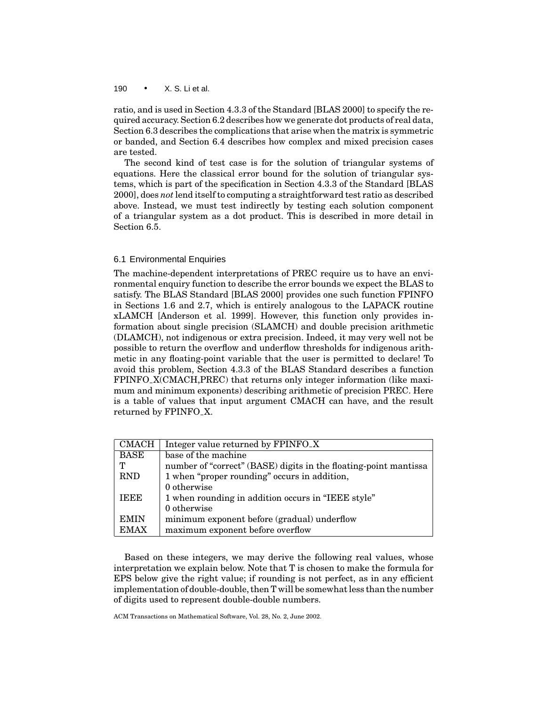ratio, and is used in Section 4.3.3 of the Standard [BLAS 2000] to specify the required accuracy. Section 6.2 describes how we generate dot products of real data, Section 6.3 describes the complications that arise when the matrix is symmetric or banded, and Section 6.4 describes how complex and mixed precision cases are tested.

The second kind of test case is for the solution of triangular systems of equations. Here the classical error bound for the solution of triangular systems, which is part of the specification in Section 4.3.3 of the Standard [BLAS 2000], does *not* lend itself to computing a straightforward test ratio as described above. Instead, we must test indirectly by testing each solution component of a triangular system as a dot product. This is described in more detail in Section 6.5.

# 6.1 Environmental Enquiries

The machine-dependent interpretations of PREC require us to have an environmental enquiry function to describe the error bounds we expect the BLAS to satisfy. The BLAS Standard [BLAS 2000] provides one such function FPINFO in Sections 1.6 and 2.7, which is entirely analogous to the LAPACK routine xLAMCH [Anderson et al. 1999]. However, this function only provides information about single precision (SLAMCH) and double precision arithmetic (DLAMCH), not indigenous or extra precision. Indeed, it may very well not be possible to return the overflow and underflow thresholds for indigenous arithmetic in any floating-point variable that the user is permitted to declare! To avoid this problem, Section 4.3.3 of the BLAS Standard describes a function FPINFO X(CMACH,PREC) that returns only integer information (like maximum and minimum exponents) describing arithmetic of precision PREC. Here is a table of values that input argument CMACH can have, and the result returned by FPINFO X.

| <b>CMACH</b>             | Integer value returned by FPINFO <sub>-X</sub>                   |
|--------------------------|------------------------------------------------------------------|
| $\overline{\text{BASE}}$ | base of the machine                                              |
| т                        | number of "correct" (BASE) digits in the floating-point mantissa |
| <b>RND</b>               | 1 when "proper rounding" occurs in addition,                     |
|                          | 0 otherwise                                                      |
| <b>TEEE</b>              | 1 when rounding in addition occurs in "IEEE style"               |
|                          | 0 otherwise                                                      |
| <b>EMIN</b>              | minimum exponent before (gradual) underflow                      |
| <b>EMAX</b>              | maximum exponent before overflow                                 |

Based on these integers, we may derive the following real values, whose interpretation we explain below. Note that T is chosen to make the formula for EPS below give the right value; if rounding is not perfect, as in any efficient implementation of double-double, then T will be somewhat less than the number of digits used to represent double-double numbers.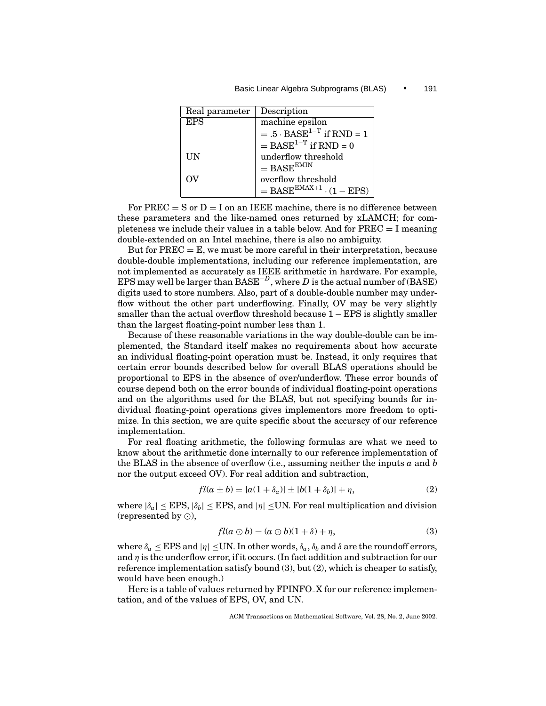| Real parameter | Description                        |
|----------------|------------------------------------|
| <b>EPS</b>     | machine epsilon                    |
|                | $= .5 \cdot BASE^{1-T}$ if RND = 1 |
|                | $= BASE^{1-T}$ if RND = 0          |
| UN             | underflow threshold                |
|                | $=$ BASE <sup>EMIN</sup>           |
| $\alpha$       | overflow threshold                 |
|                | $= BASE^{EMAX+1} \cdot (1 - EPS)$  |

For  $PREC = S$  or  $D = I$  on an IEEE machine, there is no difference between these parameters and the like-named ones returned by xLAMCH; for completeness we include their values in a table below. And for  $\text{PREC} = \text{I}$  meaning double-extended on an Intel machine, there is also no ambiguity.

But for  $PREC = E$ , we must be more careful in their interpretation, because double-double implementations, including our reference implementation, are not implemented as accurately as IEEE arithmetic in hardware. For example, EPS may well be larger than BASE<sup>−</sup>*<sup>D</sup>*, where *D* is the actual number of (BASE) digits used to store numbers. Also, part of a double-double number may underflow without the other part underflowing. Finally, OV may be very slightly smaller than the actual overflow threshold because  $1 -$  EPS is slightly smaller than the largest floating-point number less than 1.

Because of these reasonable variations in the way double-double can be implemented, the Standard itself makes no requirements about how accurate an individual floating-point operation must be. Instead, it only requires that certain error bounds described below for overall BLAS operations should be proportional to EPS in the absence of over/underflow. These error bounds of course depend both on the error bounds of individual floating-point operations and on the algorithms used for the BLAS, but not specifying bounds for individual floating-point operations gives implementors more freedom to optimize. In this section, we are quite specific about the accuracy of our reference implementation.

For real floating arithmetic, the following formulas are what we need to know about the arithmetic done internally to our reference implementation of the BLAS in the absence of overflow (i.e., assuming neither the inputs *a* and *b* nor the output exceed OV). For real addition and subtraction,

$$
fl(a \pm b) = [a(1 + \delta_a)] \pm [b(1 + \delta_b)] + \eta,
$$
\n(2)

where  $|\delta_a| \leq EPS$ ,  $|\delta_b| \leq EPS$ , and  $|\eta| \leq UN$ . For real multiplication and division (represented by  $\odot$ ),

$$
fl(a \odot b) = (a \odot b)(1 + \delta) + \eta, \tag{3}
$$

where  $\delta_a \leq EPS$  and  $|\eta| \leq UN$ . In other words,  $\delta_a$ ,  $\delta_b$  and  $\delta$  are the roundoff errors, and  $\eta$  is the underflow error, if it occurs. (In fact addition and subtraction for our reference implementation satisfy bound (3), but (2), which is cheaper to satisfy, would have been enough.)

Here is a table of values returned by FPINFO X for our reference implementation, and of the values of EPS, OV, and UN.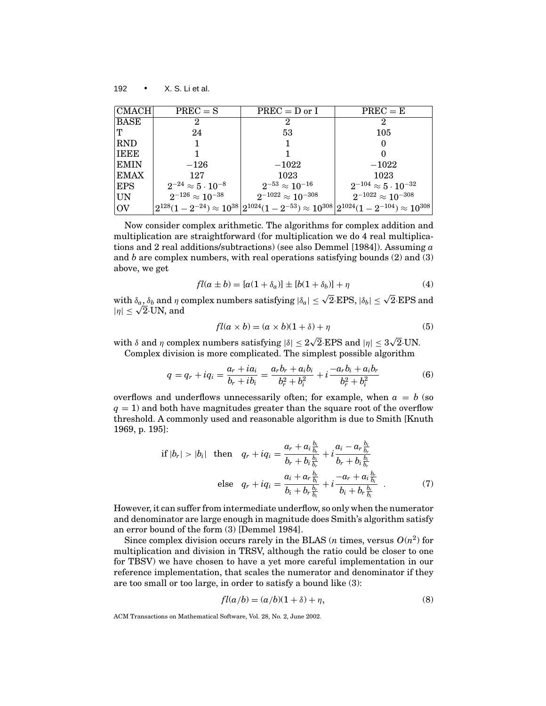| <b>CMACH</b> | $PREC = S$                      | $PREC = D$ or $I$             | $PREC = E$                                                                                                        |
|--------------|---------------------------------|-------------------------------|-------------------------------------------------------------------------------------------------------------------|
| <b>BASE</b>  | 2                               | 2                             | 2                                                                                                                 |
| $\mathbf{T}$ | 24                              | 53                            | 105                                                                                                               |
| <b>RND</b>   |                                 |                               |                                                                                                                   |
| ПЕНЕ         |                                 |                               |                                                                                                                   |
| EMIN         | $-126$                          | $-1022$                       | $-1022$                                                                                                           |
| <b>EMAX</b>  | 127                             | 1023                          | 1023                                                                                                              |
| <b>EPS</b>   | $2^{-24}\approx 5\cdot 10^{-8}$ | $2^{-53}\approx 10^{-16}$     | $2^{-104} \approx 5 \cdot 10^{-32}$                                                                               |
| <b>UN</b>    | $2^{-126} \approx 10^{-38}$     | $2^{-1022} \approx 10^{-308}$ | $2^{-1022} \approx 10^{-308}$                                                                                     |
| <b>OV</b>    |                                 |                               | $2^{128}(1-2^{-24}) \approx 10^{38}  2^{1024}(1-2^{-53}) \approx 10^{308}  2^{1024}(1-2^{-104}) \approx 10^{308}$ |

Now consider complex arithmetic. The algorithms for complex addition and multiplication are straightforward (for multiplication we do 4 real multiplications and 2 real additions/subtractions) (see also Demmel [1984]). Assuming *a* and *b* are complex numbers, with real operations satisfying bounds (2) and (3) above, we get

$$
fl(a \pm b) = [a(1 + \delta_a)] \pm [b(1 + \delta_b)] + \eta
$$
\n(4)

with  $\delta_a$ ,  $\delta_b$  and  $\eta$  complex numbers satisfying  $|\delta_a| \leq \sqrt{2}$  EPS,  $|\delta_b| \leq \sqrt{2}$  EPS and with  $\delta_a, \delta_b$  and  $\eta$  c $|\eta| \leq \sqrt{2}$  UN, and

$$
fl(a \times b) = (a \times b)(1 + \delta) + \eta \tag{5}
$$

with  $\delta$  and  $\eta$  complex numbers satisfying  $|\delta| \leq 2$ √ 2·EPS and  $|\eta| \leq 3$ √ 2·UN. Complex division is more complicated. The simplest possible algorithm

$$
q = q_r + iq_i = \frac{a_r + ia_i}{b_r + ib_i} = \frac{a_r b_r + a_i b_i}{b_r^2 + b_i^2} + i \frac{-a_r b_i + a_i b_r}{b_r^2 + b_i^2}
$$
(6)

overflows and underflows unnecessarily often; for example, when  $a = b$  (so  $q = 1$ ) and both have magnitudes greater than the square root of the overflow threshold. A commonly used and reasonable algorithm is due to Smith [Knuth 1969, p. 195]:

if 
$$
|b_r| > |b_i|
$$
 then  $q_r + iq_i = \frac{a_r + a_i \frac{b_i}{b_r}}{b_r + b_i \frac{b_i}{b_r}} + i \frac{a_i - a_r \frac{b_i}{b_r}}{b_r + b_i \frac{b_i}{b_r}}$   
\nelse  $q_r + iq_i = \frac{a_i + a_r \frac{b_r}{b_i}}{b_i + b_r \frac{b_r}{b_i}} + i \frac{-a_r + a_i \frac{b_r}{b_i}}{b_i + b_r \frac{b_r}{b_i}}$  (7)

However, it can suffer from intermediate underflow, so only when the numerator and denominator are large enough in magnitude does Smith's algorithm satisfy an error bound of the form (3) [Demmel 1984].

Since complex division occurs rarely in the BLAS (*n* times, versus  $O(n^2)$  for multiplication and division in TRSV, although the ratio could be closer to one for TBSV) we have chosen to have a yet more careful implementation in our reference implementation, that scales the numerator and denominator if they are too small or too large, in order to satisfy a bound like (3):

$$
fl(a/b) = (a/b)(1+\delta) + \eta,
$$
\n(8)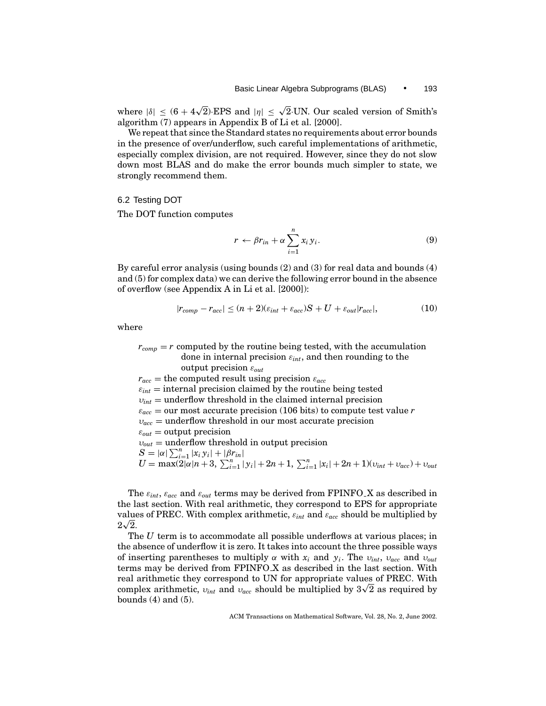where  $|\delta| \leq (6+4)$  $\sqrt{2}$ )·EPS and  $|\eta| \leq \sqrt{2}$ ·UN. Our scaled version of Smith's algorithm (7) appears in Appendix B of Li et al. [2000].

We repeat that since the Standard states no requirements about error bounds in the presence of over/underflow, such careful implementations of arithmetic, especially complex division, are not required. However, since they do not slow down most BLAS and do make the error bounds much simpler to state, we strongly recommend them.

# 6.2 Testing DOT

The DOT function computes

$$
r \leftarrow \beta r_{in} + \alpha \sum_{i=1}^{n} x_i y_i.
$$
 (9)

By careful error analysis (using bounds (2) and (3) for real data and bounds (4) and (5) for complex data) we can derive the following error bound in the absence of overflow (see Appendix A in Li et al. [2000]):

$$
|r_{comp} - r_{acc}| \le (n+2)(\varepsilon_{int} + \varepsilon_{acc})S + U + \varepsilon_{out}|r_{acc}|,
$$
\n(10)

where

 $r_{comp} = r$  computed by the routine being tested, with the accumulation done in internal precision ε*int*, and then rounding to the output precision ε*out*  $r_{acc}$  = the computed result using precision  $\varepsilon_{acc}$ 

 $\varepsilon_{int}$  = internal precision claimed by the routine being tested

 $v_{int}$  = underflow threshold in the claimed internal precision

 $\varepsilon_{acc}$  = our most accurate precision (106 bits) to compute test value *r* 

 $v_{acc}$  = underflow threshold in our most accurate precision

 $\varepsilon_{out}$  = output precision

 $v_{out}$  = underflow threshold in output precision

 $S = |\alpha| \sum_{i=1}^{n} |x_i y_i| + |\beta r_{in}|$ 

$$
U = \max(2|\alpha|n+3, \sum_{i=1}^{n} |y_i|+2n+1, \sum_{i=1}^{n} |x_i|+2n+1)(v_{int}+v_{acc})+v_{out}
$$

The ε*int*, ε*acc* and ε*out* terms may be derived from FPINFO X as described in the last section. With real arithmetic, they correspond to EPS for appropriate values of PREC. With complex arithmetic,  $\varepsilon_{int}$  and  $\varepsilon_{acc}$  should be multiplied by  $2\sqrt{2}$ .

The *U* term is to accommodate all possible underflows at various places; in the absence of underflow it is zero. It takes into account the three possible ways of inserting parentheses to multiply  $\alpha$  with  $x_i$  and  $y_i$ . The  $v_{int}$ ,  $v_{acc}$  and  $v_{out}$ terms may be derived from FPINFO X as described in the last section. With real arithmetic they correspond to UN for appropriate values of PREC. With real arithmetic they correspond to UN for appropriate values of PREC. With<br>complex arithmetic,  $v_{int}$  and  $v_{acc}$  should be multiplied by  $3\sqrt{2}$  as required by bounds  $(4)$  and  $(5)$ .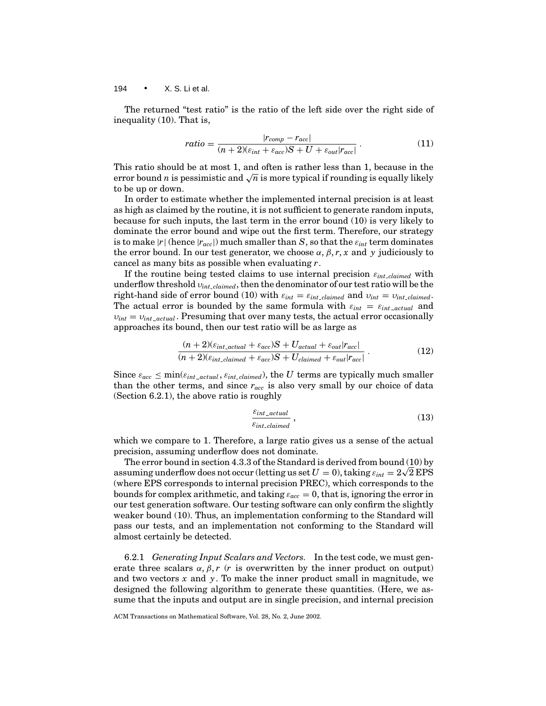The returned "test ratio" is the ratio of the left side over the right side of inequality (10). That is,

$$
ratio = \frac{|r_{comp} - r_{acc}|}{(n+2)(\varepsilon_{int} + \varepsilon_{acc})S + U + \varepsilon_{out}|r_{acc}|}.
$$
\n(11)

This ratio should be at most 1, and often is rather less than 1, because in the error bound *n* is pessimistic and  $\sqrt{n}$  is more typical if rounding is equally likely to be up or down.

In order to estimate whether the implemented internal precision is at least as high as claimed by the routine, it is not sufficient to generate random inputs, because for such inputs, the last term in the error bound (10) is very likely to dominate the error bound and wipe out the first term. Therefore, our strategy is to make  $|r|$  (hence  $|r_{acc}|\rangle$ ) much smaller than *S*, so that the  $\varepsilon_{int}$  term dominates the error bound. In our test generator, we choose  $\alpha$ ,  $\beta$ ,  $r$ ,  $x$  and  $y$  judiciously to cancel as many bits as possible when evaluating *r*.

If the routine being tested claims to use internal precision ε*int claimed* with underflow threshold υ*int claimed*, then the denominator of our test ratio will be the right-hand side of error bound (10) with  $\varepsilon_{int} = \varepsilon_{int\_claimed}$  and  $v_{int} = v_{int\_claimed}$ . The actual error is bounded by the same formula with  $\varepsilon_{int} = \varepsilon_{int\_actual}$  and  $v_{int} = v_{int-actual}$ . Presuming that over many tests, the actual error occasionally approaches its bound, then our test ratio will be as large as

$$
\frac{(n+2)(\varepsilon_{int\_actual} + \varepsilon_{acc})S + U_{actual} + \varepsilon_{out}|r_{acc}|}{(n+2)(\varepsilon_{int\_clained} + \varepsilon_{acc})S + U_{clained} + \varepsilon_{out}|r_{acc}|}.
$$
\n(12)

Since  $\varepsilon_{acc} \le \min(\varepsilon_{int\_actual}, \varepsilon_{int\_channel})$ , the *U* terms are typically much smaller than the other terms, and since *racc* is also very small by our choice of data (Section 6.2.1), the above ratio is roughly

$$
\frac{\varepsilon_{int\_actual}}{\varepsilon_{int\_clained}}\,,\tag{13}
$$

which we compare to 1. Therefore, a large ratio gives us a sense of the actual precision, assuming underflow does not dominate.

The error bound in section 4.3.3 of the Standard is derived from bound  $(10)$  by assuming underflow does not occur (letting us set  $U=0$ ), taking  $\varepsilon_{int}=2\surd2\,\mathrm{EPS}$ (where EPS corresponds to internal precision PREC), which corresponds to the bounds for complex arithmetic, and taking  $\varepsilon_{acc} = 0$ , that is, ignoring the error in our test generation software. Our testing software can only confirm the slightly weaker bound (10). Thus, an implementation conforming to the Standard will pass our tests, and an implementation not conforming to the Standard will almost certainly be detected.

6.2.1 *Generating Input Scalars and Vectors.* In the test code, we must generate three scalars  $\alpha$ ,  $\beta$ , *r* (*r* is overwritten by the inner product on output) and two vectors  $x$  and  $y$ . To make the inner product small in magnitude, we designed the following algorithm to generate these quantities. (Here, we assume that the inputs and output are in single precision, and internal precision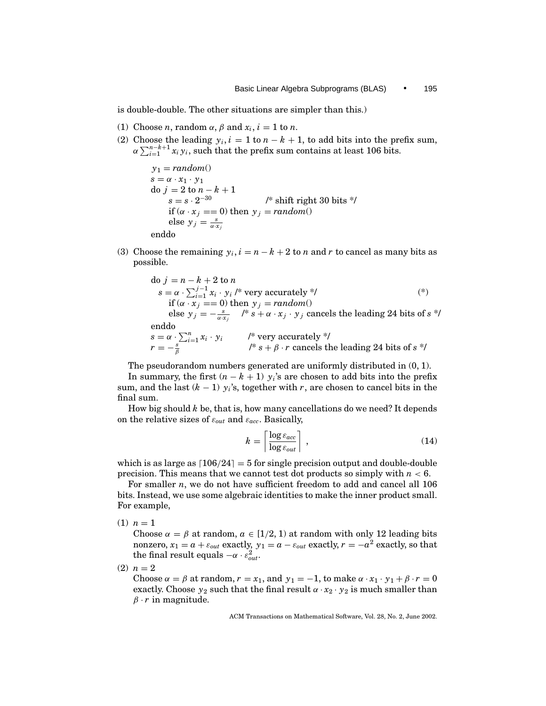is double-double. The other situations are simpler than this.)

- (1) Choose *n*, random  $\alpha$ ,  $\beta$  and  $x_i$ ,  $i = 1$  to *n*.
- (2) Choose the leading  $y_i$ ,  $i = 1$  to  $n k + 1$ , to add bits into the prefix sum,  $\alpha \sum_{i=1}^{n-k+1} x_i y_i$ , such that the prefix sum contains at least 106 bits.

 $y_1 = random()$  $s = \alpha \cdot x_1 \cdot y_1$ do  $j = 2$  to  $n - k + 1$ <br> $s = s \cdot 2^{-30}$ /\* shift right 30 bits \*/ if  $(\alpha \cdot x_j == 0)$  then  $y_j = random()$ else  $y_j = \frac{s}{\alpha \cdot x_j}$ enddo

(3) Choose the remaining  $y_i$ ,  $i = n - k + 2$  to *n* and *r* to cancel as many bits as possible.

\n
$$
\text{do } j = n - k + 2 \text{ to } n
$$
\n
$$
s = \alpha \cdot \sum_{i=1}^{j-1} x_i \cdot y_i \, /^* \text{ very accurately } */ \quad (*)
$$
\n
$$
\text{if } (\alpha \cdot x_j == 0) \text{ then } y_j = \text{random}()
$$
\n
$$
\text{else } y_j = -\frac{s}{\alpha \cdot x_j} \quad /^* s + \alpha \cdot x_j \cdot y_j \text{ cancels the leading 24 bits of } s */
$$
\n
$$
\text{enddo}
$$
\n
$$
s = \alpha \cdot \sum_{i=1}^{n} x_i \cdot y_i \quad /^* \text{ very accurately } */ \quad r = -\frac{s}{\beta} \quad /^* s + \beta \cdot r \text{ cancels the leading 24 bits of } s */
$$
\n

The pseudorandom numbers generated are uniformly distributed in (0, 1).

In summary, the first  $(n - k + 1)$  *y<sub>i</sub>*'s are chosen to add bits into the prefix sum, and the last  $(k - 1)$  *y<sub>i</sub>*'s, together with *r*, are chosen to cancel bits in the final sum.

How big should *k* be, that is, how many cancellations do we need? It depends on the relative sizes of  $\varepsilon_{out}$  and  $\varepsilon_{acc}$ . Basically,

$$
k = \left\lceil \frac{\log \varepsilon_{acc}}{\log \varepsilon_{out}} \right\rceil,
$$
\n(14)

which is as large as  $106/24 = 5$  for single precision output and double-double precision. This means that we cannot test dot products so simply with *n* < 6.

For smaller *n*, we do not have sufficient freedom to add and cancel all 106 bits. Instead, we use some algebraic identities to make the inner product small. For example,

 $(1)$   $n = 1$ 

Choose  $\alpha = \beta$  at random,  $a \in [1/2, 1)$  at random with only 12 leading bits nonzero,  $x_1 = a + \varepsilon_{out}$  exactly,  $y_1 = a - \varepsilon_{out}$  exactly,  $r = -a^2$  exactly, so that the final result equals  $-\alpha \cdot \varepsilon_{out}^2$ .

 $(2)$   $n = 2$ 

Choose  $\alpha = \beta$  at random,  $r = x_1$ , and  $y_1 = -1$ , to make  $\alpha \cdot x_1 \cdot y_1 + \beta \cdot r = 0$ exactly. Choose  $y_2$  such that the final result  $\alpha \cdot x_2 \cdot y_2$  is much smaller than  $\beta \cdot r$  in magnitude.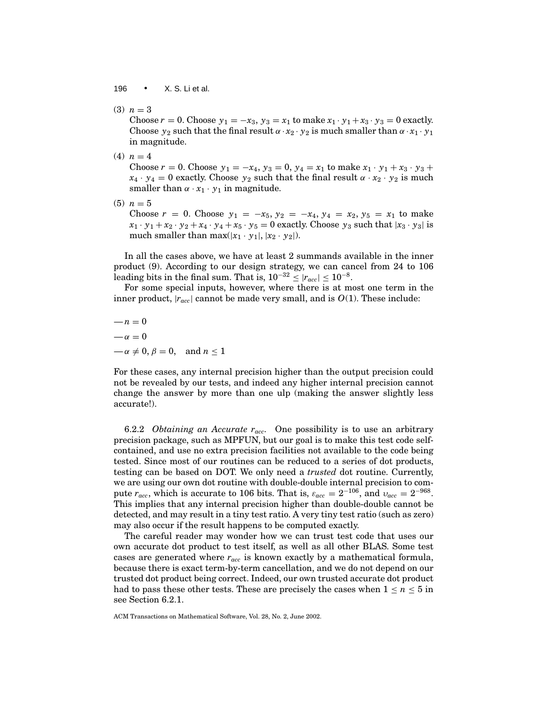$(3)$   $n=3$ 

Choose  $r = 0$ . Choose  $y_1 = -x_3$ ,  $y_3 = x_1$  to make  $x_1 \cdot y_1 + x_3 \cdot y_3 = 0$  exactly. Choose  $y_2$  such that the final result  $\alpha \cdot x_2 \cdot y_2$  is much smaller than  $\alpha \cdot x_1 \cdot y_1$ in magnitude.

 $(4)$   $n = 4$ 

Choose  $r = 0$ . Choose  $y_1 = -x_4$ ,  $y_3 = 0$ ,  $y_4 = x_1$  to make  $x_1 \cdot y_1 + x_3 \cdot y_3 +$  $x_4 \cdot y_4 = 0$  exactly. Choose  $y_2$  such that the final result  $\alpha \cdot x_2 \cdot y_2$  is much smaller than  $\alpha \cdot x_1 \cdot y_1$  in magnitude.

 $(5)$   $n = 5$ 

Choose  $r = 0$ . Choose  $y_1 = -x_5$ ,  $y_2 = -x_4$ ,  $y_4 = x_2$ ,  $y_5 = x_1$  to make  $x_1 \cdot y_1 + x_2 \cdot y_2 + x_4 \cdot y_4 + x_5 \cdot y_5 = 0$  exactly. Choose  $y_3$  such that  $|x_3 \cdot y_3|$  is much smaller than max $(|x_1 \cdot y_1|, |x_2 \cdot y_2|)$ .

In all the cases above, we have at least 2 summands available in the inner product (9). According to our design strategy, we can cancel from 24 to 106 leading bits in the final sum. That is,  $10^{-32} \le |r_{acc}| \le 10^{-8}$ .

For some special inputs, however, where there is at most one term in the inner product,  $|r_{acc}|$  cannot be made very small, and is  $O(1)$ . These include:

$$
-n = 0
$$
  

$$
-\alpha = 0
$$
  

$$
-\alpha \neq 0, \beta = 0, \text{ and } n \leq 1
$$

For these cases, any internal precision higher than the output precision could not be revealed by our tests, and indeed any higher internal precision cannot change the answer by more than one ulp (making the answer slightly less accurate!).

6.2.2 *Obtaining an Accurate racc.* One possibility is to use an arbitrary precision package, such as MPFUN, but our goal is to make this test code selfcontained, and use no extra precision facilities not available to the code being tested. Since most of our routines can be reduced to a series of dot products, testing can be based on DOT. We only need a *trusted* dot routine. Currently, we are using our own dot routine with double-double internal precision to compute  $r_{acc}$ , which is accurate to 106 bits. That is,  $\varepsilon_{acc} = 2^{-106}$ , and  $v_{acc} = 2^{-968}$ . This implies that any internal precision higher than double-double cannot be detected, and may result in a tiny test ratio. A very tiny test ratio (such as zero) may also occur if the result happens to be computed exactly.

The careful reader may wonder how we can trust test code that uses our own accurate dot product to test itself, as well as all other BLAS. Some test cases are generated where *racc* is known exactly by a mathematical formula, because there is exact term-by-term cancellation, and we do not depend on our trusted dot product being correct. Indeed, our own trusted accurate dot product had to pass these other tests. These are precisely the cases when  $1 \leq n \leq 5$  in see Section 6.2.1.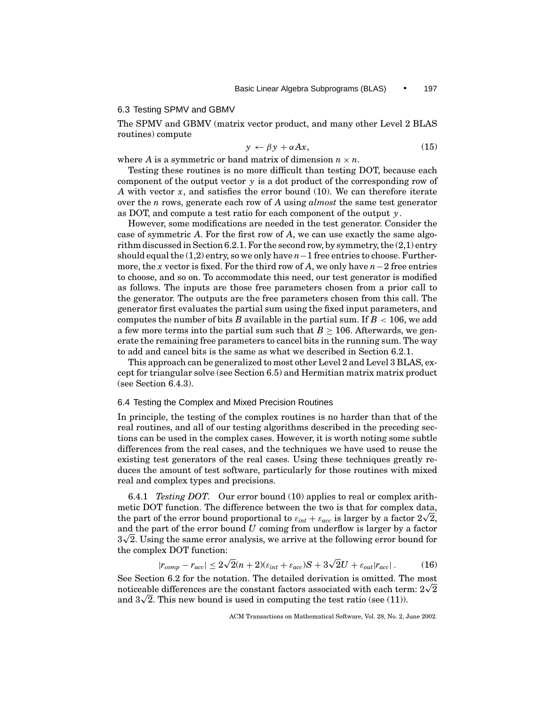# 6.3 Testing SPMV and GBMV

The SPMV and GBMV (matrix vector product, and many other Level 2 BLAS routines) compute

$$
y \leftarrow \beta y + \alpha Ax, \tag{15}
$$

where A is a symmetric or band matrix of dimension  $n \times n$ .

Testing these routines is no more difficult than testing DOT, because each component of the output vector *y* is a dot product of the corresponding row of *A* with vector *x*, and satisfies the error bound (10). We can therefore iterate over the *n* rows, generate each row of *A* using *almost* the same test generator as DOT, and compute a test ratio for each component of the output *y*.

However, some modifications are needed in the test generator. Consider the case of symmetric *A*. For the first row of *A*, we can use exactly the same algorithm discussed in Section 6.2.1. For the second row, by symmetry, the (2,1) entry should equal the (1,2) entry, so we only have *n*−1 free entries to choose. Furthermore, the *x* vector is fixed. For the third row of *A*, we only have *n*−2 free entries to choose, and so on. To accommodate this need, our test generator is modified as follows. The inputs are those free parameters chosen from a prior call to the generator. The outputs are the free parameters chosen from this call. The generator first evaluates the partial sum using the fixed input parameters, and computes the number of bits *B* available in the partial sum. If  $B < 106$ , we add a few more terms into the partial sum such that  $B \ge 106$ . Afterwards, we generate the remaining free parameters to cancel bits in the running sum. The way to add and cancel bits is the same as what we described in Section 6.2.1.

This approach can be generalized to most other Level 2 and Level 3 BLAS, except for triangular solve (see Section 6.5) and Hermitian matrix matrix product (see Section 6.4.3).

#### 6.4 Testing the Complex and Mixed Precision Routines

In principle, the testing of the complex routines is no harder than that of the real routines, and all of our testing algorithms described in the preceding sections can be used in the complex cases. However, it is worth noting some subtle differences from the real cases, and the techniques we have used to reuse the existing test generators of the real cases. Using these techniques greatly reduces the amount of test software, particularly for those routines with mixed real and complex types and precisions.

6.4.1 *Testing DOT.* Our error bound (10) applies to real or complex arithmetic DOT function. The difference between the two is that for complex data, metic DOT function. The difference between the two is that for complex data, the part of the error bound proportional to  $\varepsilon_{int} + \varepsilon_{acc}$  is larger by a factor  $2\sqrt{2}$ , and the part of the error bound  $U$  coming from underflow is larger by a factor  $3\sqrt{2}.$  Using the same error analysis, we arrive at the following error bound for the complex DOT function: √ √

$$
|r_{comp} - r_{acc}| \le 2\sqrt{2(n+2)(\varepsilon_{int} + \varepsilon_{acc})}S + 3\sqrt{2U} + \varepsilon_{out}|r_{acc}|.
$$
 (16)

See Section 6.2 for the notation. The detailed derivation is omitted. The most See Section 6.2 for the notation. The detailed derivation is omitted. The most noticeable differences are the constant factors associated with each term:  $2\sqrt{2}$ noticeable differences are the constant factors associated with each teri<br>and  $3\sqrt{2}$ . This new bound is used in computing the test ratio (see (11)).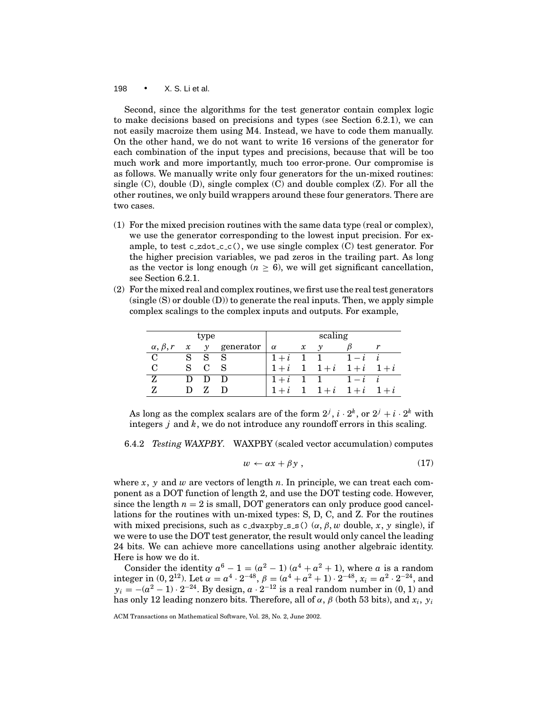Second, since the algorithms for the test generator contain complex logic to make decisions based on precisions and types (see Section 6.2.1), we can not easily macroize them using M4. Instead, we have to code them manually. On the other hand, we do not want to write 16 versions of the generator for each combination of the input types and precisions, because that will be too much work and more importantly, much too error-prone. Our compromise is as follows. We manually write only four generators for the un-mixed routines: single  $(C)$ , double  $(D)$ , single complex  $(C)$  and double complex  $(Z)$ . For all the other routines, we only build wrappers around these four generators. There are two cases.

- (1) For the mixed precision routines with the same data type (real or complex), we use the generator corresponding to the lowest input precision. For example, to test  $c_z = c()$ , we use single complex  $(C)$  test generator. For the higher precision variables, we pad zeros in the trailing part. As long as the vector is long enough ( $n \geq 6$ ), we will get significant cancellation, see Section 6.2.1.
- (2) For the mixed real and complex routines, we first use the real test generators  $(single(S)$  or double  $(D)$ ) to generate the real inputs. Then, we apply simple complex scalings to the complex inputs and outputs. For example,

| type               |                            |             |           | scaling  |                            |             |       |       |  |
|--------------------|----------------------------|-------------|-----------|----------|----------------------------|-------------|-------|-------|--|
| $\alpha, \beta, r$ | $\boldsymbol{\mathcal{X}}$ | $\mathbf v$ | generator | $\alpha$ | $\boldsymbol{\mathcal{X}}$ | $\mathbf v$ |       |       |  |
| $\mathcal{C}$      |                            | S           |           | $1+i$    |                            |             |       |       |  |
| $\mathcal{C}$      | S                          |             |           | $1+i$    |                            | $1+i$       | $1+i$ | $1+i$ |  |
| Z                  |                            |             |           | $1 + i$  |                            |             | $-1$  |       |  |
| 7.                 |                            |             |           |          |                            | $+i$        | $+ i$ |       |  |

As long as the complex scalars are of the form  $2^j$ ,  $i \cdot 2^k$ , or  $2^j + i \cdot 2^k$  with integers *j* and *k*, we do not introduce any roundoff errors in this scaling.

6.4.2 *Testing WAXPBY.* WAXPBY (scaled vector accumulation) computes

$$
w \leftarrow \alpha x + \beta y \,, \tag{17}
$$

where  $x$ ,  $y$  and  $w$  are vectors of length  $n$ . In principle, we can treat each component as a DOT function of length 2, and use the DOT testing code. However, since the length  $n = 2$  is small, DOT generators can only produce good cancellations for the routines with un-mixed types: S, D, C, and Z. For the routines with mixed precisions, such as c\_dwaxpby\_s\_s()  $(\alpha, \beta, w$  double, *x*, *y* single), if we were to use the DOT test generator, the result would only cancel the leading 24 bits. We can achieve more cancellations using another algebraic identity. Here is how we do it.

Consider the identity  $a^6 - 1 = (a^2 - 1)(a^4 + a^2 + 1)$ , where *a* is a random integer in  $(0, 2^{12})$ . Let  $\alpha = a^4 \cdot 2^{-48}$ ,  $\beta = (a^4 + a^2 + 1) \cdot 2^{-48}$ ,  $x_i = a^2 \cdot 2^{-24}$ , and  $y_i=-(a^2-1)\cdot 2^{-24}.$  By design,  $a\cdot 2^{-12}$  is a real random number in  $(0,1)$  and has only 12 leading nonzero bits. Therefore, all of α, β (both 53 bits), and *xi*, *yi*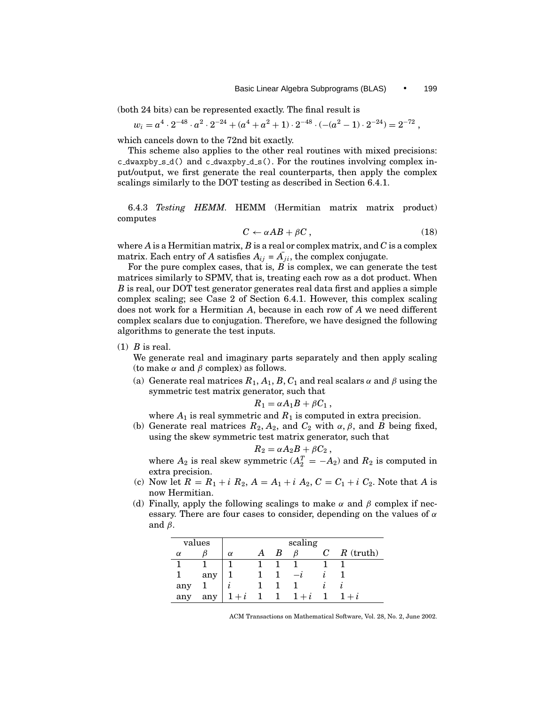(both 24 bits) can be represented exactly. The final result is

$$
w_i = a^4 \cdot 2^{-48} \cdot a^2 \cdot 2^{-24} + (a^4 + a^2 + 1) \cdot 2^{-48} \cdot (- (a^2 - 1) \cdot 2^{-24}) = 2^{-72}
$$
,

which cancels down to the 72nd bit exactly.

This scheme also applies to the other real routines with mixed precisions: c\_dwaxpby\_s\_d() and c\_dwaxpby\_d\_s(). For the routines involving complex input/output, we first generate the real counterparts, then apply the complex scalings similarly to the DOT testing as described in Section 6.4.1.

6.4.3 *Testing HEMM.* HEMM (Hermitian matrix matrix product) computes

$$
C \leftarrow \alpha AB + \beta C \,, \tag{18}
$$

where *A* is a Hermitian matrix, *B* is a real or complex matrix, and *C* is a complex matrix. Each entry of *A* satisfies  $A_{ij} = \overline{A_{ji}}$ , the complex conjugate.

For the pure complex cases, that is, *B* is complex, we can generate the test matrices similarly to SPMV, that is, treating each row as a dot product. When *B* is real, our DOT test generator generates real data first and applies a simple complex scaling; see Case 2 of Section 6.4.1. However, this complex scaling does not work for a Hermitian *A*, because in each row of *A* we need different complex scalars due to conjugation. Therefore, we have designed the following algorithms to generate the test inputs.

(1) *B* is real.

We generate real and imaginary parts separately and then apply scaling (to make  $\alpha$  and  $\beta$  complex) as follows.

(a) Generate real matrices  $R_1$ ,  $A_1$ ,  $B$ ,  $C_1$  and real scalars  $\alpha$  and  $\beta$  using the symmetric test matrix generator, such that

$$
R_1 = \alpha A_1 B + \beta C_1 \,,
$$

where  $A_1$  is real symmetric and  $R_1$  is computed in extra precision.

(b) Generate real matrices  $R_2$ ,  $A_2$ , and  $C_2$  with  $\alpha$ ,  $\beta$ , and  $B$  being fixed, using the skew symmetric test matrix generator, such that

$$
R_2=\alpha A_2B+\beta C_2,
$$

where  $A_2$  is real skew symmetric ( $A_2^T = -A_2$ ) and  $R_2$  is computed in extra precision.

- (c) Now let  $R = R_1 + i R_2$ ,  $A = A_1 + i A_2$ ,  $C = C_1 + i C_2$ . Note that *A* is now Hermitian.
- (d) Finally, apply the following scalings to make  $\alpha$  and  $\beta$  complex if necessary. There are four cases to consider, depending on the values of  $\alpha$ and  $\beta$ .

|          | values |          |   | scaling |             |
|----------|--------|----------|---|---------|-------------|
| $\alpha$ |        | $\alpha$ | В |         | $R$ (truth) |
|          |        |          |   |         |             |
|          | any    |          |   |         |             |
| any      |        | ı        |   |         |             |
| any      | any    | $1+i$    |   | $1+i$   | $+i$        |

ACM Transactions on Mathematical Software, Vol. 28, No. 2, June 2002.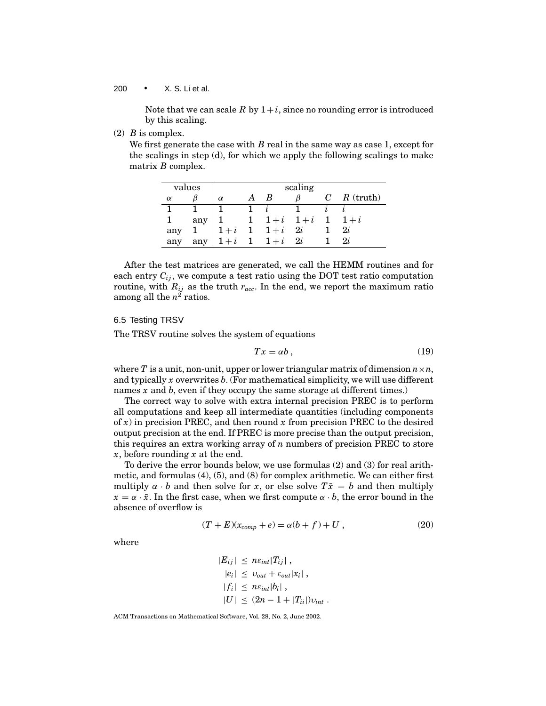Note that we can scale R by  $1+i$ , since no rounding error is introduced by this scaling.

(2) *B* is complex.

We first generate the case with *B* real in the same way as case 1, except for the scalings in step (d), for which we apply the following scalings to make matrix *B* complex.

| values   |     |          |               | scaling |   |             |
|----------|-----|----------|---------------|---------|---|-------------|
| $\alpha$ |     | $\alpha$ | В             |         | C | $R$ (truth) |
|          |     |          |               |         |   |             |
|          | any |          | $1+i$         | $1+i$   |   | $1+i$       |
| any      |     | $1+i$    | $1 \quad 1+i$ | 2i      |   | 2i          |
| any      | any | $1+i$    | $1+i$         | 2i      |   | 2i          |

After the test matrices are generated, we call the HEMM routines and for each entry  $C_{ij}$ , we compute a test ratio using the DOT test ratio computation routine, with  $R_{ij}$  as the truth  $r_{acc}$ . In the end, we report the maximum ratio among all the  $n^2$  ratios.

# 6.5 Testing TRSV

The TRSV routine solves the system of equations

$$
Tx = \alpha b \,, \tag{19}
$$

where *T* is a unit, non-unit, upper or lower triangular matrix of dimension  $n \times n$ , and typically *x* overwrites *b*. (For mathematical simplicity, we will use different names *x* and *b*, even if they occupy the same storage at different times.)

The correct way to solve with extra internal precision PREC is to perform all computations and keep all intermediate quantities (including components of  $x$ ) in precision PREC, and then round  $x$  from precision PREC to the desired output precision at the end. If PREC is more precise than the output precision, this requires an extra working array of *n* numbers of precision PREC to store *x*, before rounding *x* at the end.

To derive the error bounds below, we use formulas (2) and (3) for real arithmetic, and formulas (4), (5), and (8) for complex arithmetic. We can either first multiply  $\alpha \cdot b$  and then solve for *x*, or else solve  $T\overline{x} = b$  and then multiply  $x = \alpha \cdot \bar{x}$ . In the first case, when we first compute  $\alpha \cdot b$ , the error bound in the absence of overflow is

$$
(T+E)(x_{comp} + e) = \alpha(b+f) + U,
$$
\n(20)

where

$$
|E_{ij}| \leq n \varepsilon_{int} |T_{ij}|,
$$
  
\n
$$
|e_i| \leq v_{out} + \varepsilon_{out} |x_i|,
$$
  
\n
$$
|f_i| \leq n \varepsilon_{int} |b_i|,
$$
  
\n
$$
|U| \leq (2n - 1 + |T_{ii}|)v_{int}.
$$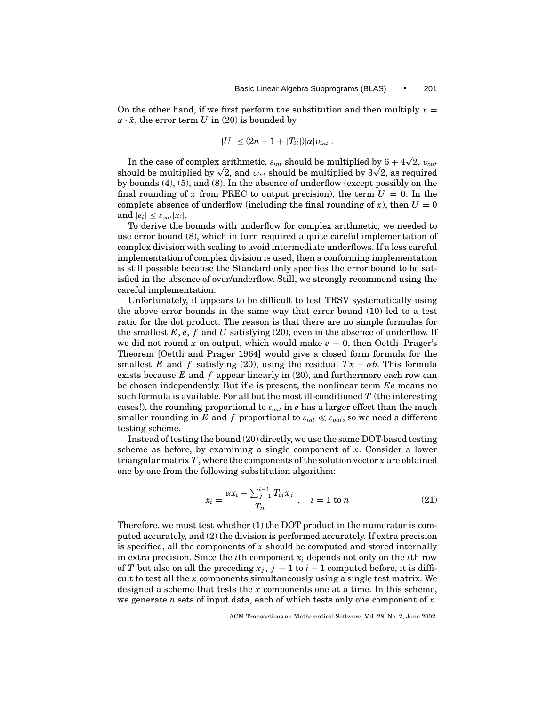On the other hand, if we first perform the substitution and then multiply  $x =$  $\alpha \cdot \bar{x}$ , the error term *U* in (20) is bounded by

$$
|U| \leq (2n-1+|T_{ii}|)|\alpha|v_{int}.
$$

In the case of complex arithmetic,  $\varepsilon_{int}$  should be multiplied by  $6 + 4$ √  $2, v_{out}$ In the case of complex arithmetic,  $\varepsilon_{int}$  should be multiplied by  $6 + 4\sqrt{2}$ ,  $v_{out}$  should be multiplied by  $\sqrt{2}$ , and  $v_{int}$  should be multiplied by  $3\sqrt{2}$ , as required by bounds (4), (5), and (8). In the absence of underflow (except possibly on the final rounding of x from PREC to output precision), the term  $U = 0$ . In the complete absence of underflow (including the final rounding of x), then  $U = 0$ and  $|e_i| \leq \varepsilon_{out}|x_i|$ .

To derive the bounds with underflow for complex arithmetic, we needed to use error bound (8), which in turn required a quite careful implementation of complex division with scaling to avoid intermediate underflows. If a less careful implementation of complex division is used, then a conforming implementation is still possible because the Standard only specifies the error bound to be satisfied in the absence of over/underflow. Still, we strongly recommend using the careful implementation.

Unfortunately, it appears to be difficult to test TRSV systematically using the above error bounds in the same way that error bound (10) led to a test ratio for the dot product. The reason is that there are no simple formulas for the smallest  $E$ ,  $e$ ,  $f$  and  $U$  satisfying (20), even in the absence of underflow. If we did not round x on output, which would make  $e = 0$ , then Oettli-Prager's Theorem [Oettli and Prager 1964] would give a closed form formula for the smallest *E* and *f* satisfying (20), using the residual  $Tx - \alpha b$ . This formula exists because *E* and *f* appear linearly in (20), and furthermore each row can be chosen independently. But if *e* is present, the nonlinear term *Ee* means no such formula is available. For all but the most ill-conditioned *T* (the interesting cases!), the rounding proportional to  $\varepsilon_{out}$  in  $e$  has a larger effect than the much smaller rounding in *E* and *f* proportional to  $\varepsilon_{int} \ll \varepsilon_{out}$ , so we need a different testing scheme.

Instead of testing the bound (20) directly, we use the same DOT-based testing scheme as before, by examining a single component of *x*. Consider a lower triangular matrix *T*, where the components of the solution vector *x* are obtained one by one from the following substitution algorithm:

$$
x_i = \frac{\alpha x_i - \sum_{j=1}^{i-1} T_{ij} x_j}{T_{ii}}, \quad i = 1 \text{ to } n
$$
 (21)

Therefore, we must test whether (1) the DOT product in the numerator is computed accurately, and (2) the division is performed accurately. If extra precision is specified, all the components of *x* should be computed and stored internally in extra precision. Since the *i*th component  $x_i$  depends not only on the *i*th row of *T* but also on all the preceding  $x_j$ ,  $j = 1$  to  $i - 1$  computed before, it is difficult to test all the *x* components simultaneously using a single test matrix. We designed a scheme that tests the *x* components one at a time. In this scheme, we generate *n* sets of input data, each of which tests only one component of *x*.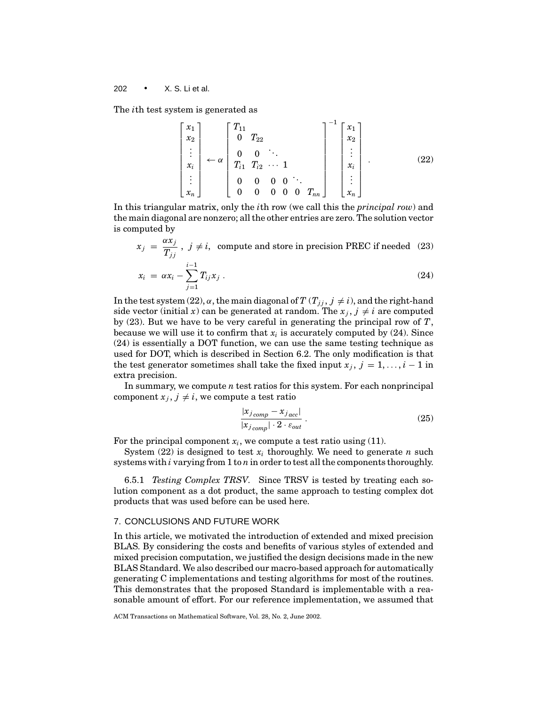The *i*th test system is generated as

*j*=1

$$
\begin{bmatrix} x_1 \\ x_2 \\ \vdots \\ x_i \\ \vdots \\ x_n \end{bmatrix} \leftarrow \alpha \begin{bmatrix} T_{11} \\ 0 & T_{22} \\ 0 & 0 & \ddots \\ T_{i1} & T_{i2} & \cdots & 1 \\ 0 & 0 & 0 & 0 \\ 0 & 0 & 0 & 0 & T_{nn} \end{bmatrix}^{-1} \begin{bmatrix} x_1 \\ x_2 \\ \vdots \\ x_i \\ \vdots \\ x_n \end{bmatrix}
$$
 (22)

In this triangular matrix, only the *i*th row (we call this the *principal row*) and the main diagonal are nonzero; all the other entries are zero. The solution vector is computed by

$$
x_j = \frac{\alpha x_j}{T_{jj}}, \ j \neq i,
$$
 compute and store in precision PREC if needed (23)  

$$
x_i = \alpha x_i - \sum_{j=1}^{i-1} T_{ij} x_j.
$$
 (24)

In the test system (22),  $\alpha$ , the main diagonal of *T* ( $T_{jj}$ ,  $j \neq i$ ), and the right-hand side vector (initial *x*) can be generated at random. The  $x_j$ ,  $j \neq i$  are computed by (23). But we have to be very careful in generating the principal row of *T*, because we will use it to confirm that  $x_i$  is accurately computed by  $(24)$ . Since (24) is essentially a DOT function, we can use the same testing technique as used for DOT, which is described in Section 6.2. The only modification is that the test generator sometimes shall take the fixed input  $x_j$ ,  $j = 1, \ldots, i - 1$  in extra precision.

In summary, we compute *n* test ratios for this system. For each nonprincipal component  $x_i$ ,  $j \neq i$ , we compute a test ratio

$$
\frac{|x_{j\,comp} - x_{j\,acc}|}{|x_{j\,comp}| \cdot 2 \cdot \varepsilon_{out}} \,. \tag{25}
$$

For the principal component  $x_i$ , we compute a test ratio using  $(11)$ .

System  $(22)$  is designed to test  $x_i$  thoroughly. We need to generate *n* such systems with *i* varying from 1 to *n* in order to test all the components thoroughly.

6.5.1 *Testing Complex TRSV.* Since TRSV is tested by treating each solution component as a dot product, the same approach to testing complex dot products that was used before can be used here.

# 7. CONCLUSIONS AND FUTURE WORK

In this article, we motivated the introduction of extended and mixed precision BLAS. By considering the costs and benefits of various styles of extended and mixed precision computation, we justified the design decisions made in the new BLAS Standard. We also described our macro-based approach for automatically generating C implementations and testing algorithms for most of the routines. This demonstrates that the proposed Standard is implementable with a reasonable amount of effort. For our reference implementation, we assumed that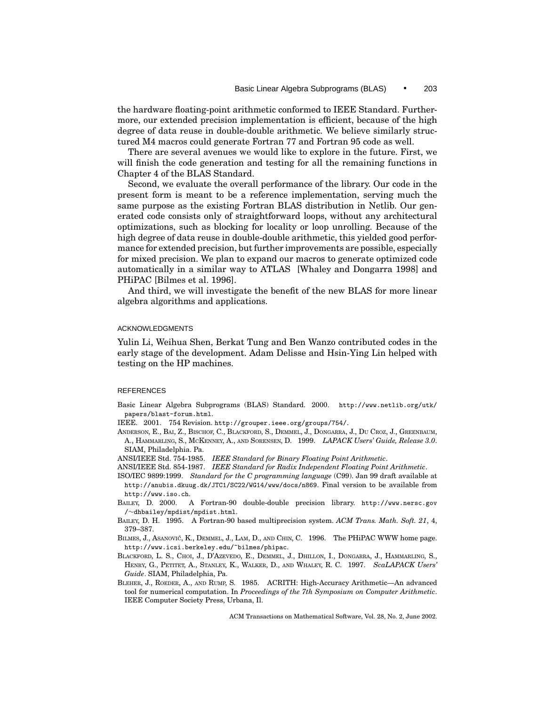the hardware floating-point arithmetic conformed to IEEE Standard. Furthermore, our extended precision implementation is efficient, because of the high degree of data reuse in double-double arithmetic. We believe similarly structured M4 macros could generate Fortran 77 and Fortran 95 code as well.

There are several avenues we would like to explore in the future. First, we will finish the code generation and testing for all the remaining functions in Chapter 4 of the BLAS Standard.

Second, we evaluate the overall performance of the library. Our code in the present form is meant to be a reference implementation, serving much the same purpose as the existing Fortran BLAS distribution in Netlib. Our generated code consists only of straightforward loops, without any architectural optimizations, such as blocking for locality or loop unrolling. Because of the high degree of data reuse in double-double arithmetic, this yielded good performance for extended precision, but further improvements are possible, especially for mixed precision. We plan to expand our macros to generate optimized code automatically in a similar way to ATLAS [Whaley and Dongarra 1998] and PHiPAC [Bilmes et al. 1996].

And third, we will investigate the benefit of the new BLAS for more linear algebra algorithms and applications.

## ACKNOWLEDGMENTS

Yulin Li, Weihua Shen, Berkat Tung and Ben Wanzo contributed codes in the early stage of the development. Adam Delisse and Hsin-Ying Lin helped with testing on the HP machines.

#### REFERENCES

Basic Linear Algebra Subprograms (BLAS) Standard. 2000. http://www.netlib.org/utk/ papers/blast-forum.html.

IEEE. 2001. 754 Revision. http://grouper.ieee.org/groups/754/.

- ANDERSON, E., BAI, Z., BISCHOF, C., BLACKFORD, S., DEMMEL, J., DONGARRA, J., DU CROZ, J., GREENBAUM, A., HAMMARLING, S., MCKENNEY, A., AND SORENSEN, D. 1999. *LAPACK Users' Guide, Release 3.0*. SIAM, Philadelphia. Pa.
- ANSI/IEEE Std. 754-1985. *IEEE Standard for Binary Floating Point Arithmetic*.
- ANSI/IEEE Std. 854-1987. *IEEE Standard for Radix Independent Floating Point Arithmetic*.
- ISO/IEC 9899:1999. *Standard for the C programming language* (C99). Jan 99 draft available at http://anubis.dkuug.dk/JTC1/SC22/WG14/www/docs/n869. Final version to be available from http://www.iso.ch.
- BAILEY, D. 2000. A Fortran-90 double-double precision library. http://www.nersc.gov /∼dhbailey/mpdist/mpdist.html.
- BAILEY, D. H. 1995. A Fortran-90 based multiprecision system. *ACM Trans. Math. Soft. 21*, 4, 379–387.
- BILMES, J., ASANOVIĆ, K., DEMMEL, J., LAM, D., AND CHIN, C. 1996. The PHIPAC WWW home page. http://www.icsi.berkeley.edu/~bilmes/phipac.
- BLACKFORD, L. S., CHOI, J., D'AZEVEDO, E., DEMMEL, J., DHILLON, I., DONGARRA, J., HAMMARLING, S., HENRY, G., PETITET, A., STANLEY, K., WALKER, D., AND WHALEY, R. C. 1997. *ScaLAPACK Users' Guide*. SIAM, Philadelphia, Pa.
- BLEHER, J., ROEDER, A., AND RUMP, S. 1985. ACRITH: High-Accuracy Arithmetic—An advanced tool for numerical computation. In *Proceedings of the 7th Symposium on Computer Arithmetic*. IEEE Computer Society Press, Urbana, Il.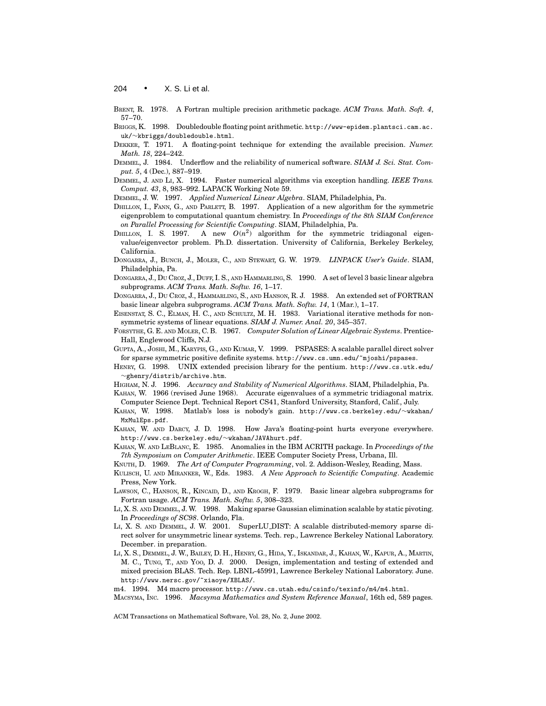BRENT, R. 1978. A Fortran multiple precision arithmetic package. *ACM Trans. Math. Soft. 4*, 57–70.

BRIGGS, K. 1998. Doubledouble floating point arithmetic. http://www-epidem.plantsci.cam.ac. uk/∼kbriggs/doubledouble.html.

- DEKKER, T. 1971. A floating-point technique for extending the available precision. *Numer. Math. 18*, 224–242.
- DEMMEL, J. 1984. Underflow and the reliability of numerical software. *SIAM J. Sci. Stat. Comput. 5*, 4 (Dec.), 887–919.
- DEMMEL, J. AND LI, X. 1994. Faster numerical algorithms via exception handling. *IEEE Trans. Comput. 43*, 8, 983–992. LAPACK Working Note 59.
- DEMMEL, J. W. 1997. *Applied Numerical Linear Algebra*. SIAM, Philadelphia, Pa.
- DHILLON, I., FANN, G., AND PARLETT, B. 1997. Application of a new algorithm for the symmetric eigenproblem to computational quantum chemistry. In *Proceedings of the 8th SIAM Conference on Parallel Processing for Scientific Computing*. SIAM, Philadelphia, Pa.
- DHILLON, I. S. 1997. A new  $O(n^2)$  algorithm for the symmetric tridiagonal eigenvalue/eigenvector problem. Ph.D. dissertation. University of California, Berkeley Berkeley, California.
- DONGARRA, J., BUNCH, J., MOLER, C., AND STEWART, G. W. 1979. *LINPACK User's Guide*. SIAM, Philadelphia, Pa.
- DONGARRA, J., DU CROZ, J., DUFF, I. S., AND HAMMARLING, S. 1990. A set of level 3 basic linear algebra subprograms. *ACM Trans. Math. Softw. 16*, 1–17.
- DONGARRA, J., DU CROZ, J., HAMMARLING, S., AND HANSON, R. J. 1988. An extended set of FORTRAN basic linear algebra subprograms. *ACM Trans. Math. Softw. 14*, 1 (Mar.), 1–17.
- EISENSTAT, S. C., ELMAN, H. C., AND SCHULTZ, M. H. 1983. Variational iterative methods for nonsymmetric systems of linear equations. *SIAM J. Numer. Anal. 20*, 345–357.
- FORSYTHE, G. E. AND MOLER, C. B. 1967. *Computer Solution of Linear Algebraic Systems*. Prentice-Hall, Englewood Cliffs, N.J.
- GUPTA, A., JOSHI, M., KARYPIS, G., AND KUMAR, V. 1999. PSPASES: A scalable parallel direct solver for sparse symmetric positive definite systems. http://www.cs.umn.edu/~mjoshi/pspases.
- HENRY, G. 1998. UNIX extended precision library for the pentium. http://www.cs.utk.edu/ ∼ghenry/distrib/archive.htm.

HIGHAM, N. J. 1996. *Accuracy and Stability of Numerical Algorithms*. SIAM, Philadelphia, Pa.

- KAHAN, W. 1966 (revised June 1968). Accurate eigenvalues of a symmetric tridiagonal matrix. Computer Science Dept. Technical Report CS41, Stanford University, Stanford, Calif., July.
- KAHAN, W. 1998. Matlab's loss is nobody's gain. http://www.cs.berkeley.edu/∼wkahan/ MxMulEps.pdf.
- KAHAN, W. AND DARCY, J. D. 1998. How Java's floating-point hurts everyone everywhere. http://www.cs.berkeley.edu/∼wkahan/JAVAhurt.pdf.
- KAHAN, W. AND LEBLANC, E. 1985. Anomalies in the IBM ACRITH package. In *Proceedings of the 7th Symposium on Computer Arithmetic*. IEEE Computer Society Press, Urbana, Ill.
- KNUTH, D. 1969. *The Art of Computer Programming*, vol. 2. Addison-Wesley, Reading, Mass.
- KULISCH, U. AND MIRANKER, W., Eds. 1983. *A New Approach to Scientific Computing*. Academic Press, New York.
- LAWSON, C., HANSON, R., KINCAID, D., AND KROGH, F. 1979. Basic linear algebra subprograms for Fortran usage. *ACM Trans. Math. Softw. 5*, 308–323.
- LI, X. S. AND DEMMEL, J. W. 1998. Making sparse Gaussian elimination scalable by static pivoting. In *Proceedings of SC98*. Orlando, Fla.
- LI, X. S. AND DEMMEL, J. W. 2001. SuperLU DIST: A scalable distributed-memory sparse direct solver for unsymmetric linear systems. Tech. rep., Lawrence Berkeley National Laboratory. December. in preparation.
- LI, X. S., DEMMEL, J. W., BAILEY, D. H., HENRY, G., HIDA, Y., ISKANDAR, J., KAHAN, W., KAPUR, A., MARTIN, M. C., TUNG, T., AND YOO, D. J. 2000. Design, implementation and testing of extended and mixed precision BLAS. Tech. Rep. LBNL-45991, Lawrence Berkeley National Laboratory. June. http://www.nersc.gov/~xiaoye/XBLAS/.

m4. 1994. M4 macro processor. http://www.cs.utah.edu/csinfo/texinfo/m4/m4.html.

MACSYMA, INC. 1996. *Macsyma Mathematics and System Reference Manual*, 16th ed, 589 pages.